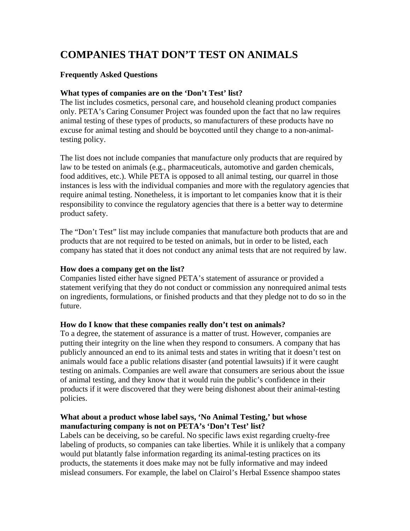# **COMPANIES THAT DON'T TEST ON ANIMALS**

## **Frequently Asked Questions**

## **What types of companies are on the 'Don't Test' list?**

The list includes cosmetics, personal care, and household cleaning product companies only. PETA's Caring Consumer Project was founded upon the fact that no law requires animal testing of these types of products, so manufacturers of these products have no excuse for animal testing and should be boycotted until they change to a non-animaltesting policy.

The list does not include companies that manufacture only products that are required by law to be tested on animals (e.g., pharmaceuticals, automotive and garden chemicals, food additives, etc.). While PETA is opposed to all animal testing, our quarrel in those instances is less with the individual companies and more with the regulatory agencies that require animal testing. Nonetheless, it is important to let companies know that it is their responsibility to convince the regulatory agencies that there is a better way to determine product safety.

The "Don't Test" list may include companies that manufacture both products that are and products that are not required to be tested on animals, but in order to be listed, each company has stated that it does not conduct any animal tests that are not required by law.

## **How does a company get on the list?**

Companies listed either have signed PETA's statement of assurance or provided a statement verifying that they do not conduct or commission any nonrequired animal tests on ingredients, formulations, or finished products and that they pledge not to do so in the future.

## **How do I know that these companies really don't test on animals?**

To a degree, the statement of assurance is a matter of trust. However, companies are putting their integrity on the line when they respond to consumers. A company that has publicly announced an end to its animal tests and states in writing that it doesn't test on animals would face a public relations disaster (and potential lawsuits) if it were caught testing on animals. Companies are well aware that consumers are serious about the issue of animal testing, and they know that it would ruin the public's confidence in their products if it were discovered that they were being dishonest about their animal-testing policies.

## **What about a product whose label says, 'No Animal Testing,' but whose manufacturing company is not on PETA's 'Don't Test' list?**

Labels can be deceiving, so be careful. No specific laws exist regarding cruelty-free labeling of products, so companies can take liberties. While it is unlikely that a company would put blatantly false information regarding its animal-testing practices on its products, the statements it does make may not be fully informative and may indeed mislead consumers. For example, the label on Clairol's Herbal Essence shampoo states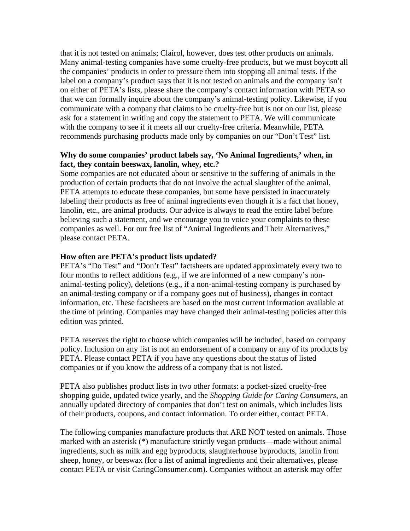that it is not tested on animals; Clairol, however, does test other products on animals. Many animal-testing companies have some cruelty-free products, but we must boycott all the companies' products in order to pressure them into stopping all animal tests. If the label on a company's product says that it is not tested on animals and the company isn't on either of PETA's lists, please share the company's contact information with PETA so that we can formally inquire about the company's animal-testing policy. Likewise, if you communicate with a company that claims to be cruelty-free but is not on our list, please ask for a statement in writing and copy the statement to PETA. We will communicate with the company to see if it meets all our cruelty-free criteria. Meanwhile, PETA recommends purchasing products made only by companies on our "Don't Test" list.

## **Why do some companies' product labels say, 'No Animal Ingredients,' when, in fact, they contain beeswax, lanolin, whey, etc.?**

Some companies are not educated about or sensitive to the suffering of animals in the production of certain products that do not involve the actual slaughter of the animal. PETA attempts to educate these companies, but some have persisted in inaccurately labeling their products as free of animal ingredients even though it is a fact that honey, lanolin, etc., are animal products. Our advice is always to read the entire label before believing such a statement, and we encourage you to voice your complaints to these companies as well. For our free list of "Animal Ingredients and Their Alternatives," please contact PETA.

#### **How often are PETA's product lists updated?**

PETA's "Do Test" and "Don't Test" factsheets are updated approximately every two to four months to reflect additions (e.g., if we are informed of a new company's nonanimal-testing policy), deletions (e.g., if a non-animal-testing company is purchased by an animal-testing company or if a company goes out of business), changes in contact information, etc. These factsheets are based on the most current information available at the time of printing. Companies may have changed their animal-testing policies after this edition was printed.

PETA reserves the right to choose which companies will be included, based on company policy. Inclusion on any list is not an endorsement of a company or any of its products by PETA. Please contact PETA if you have any questions about the status of listed companies or if you know the address of a company that is not listed.

PETA also publishes product lists in two other formats: a pocket-sized cruelty-free shopping guide, updated twice yearly, and the *Shopping Guide for Caring Consumers*, an annually updated directory of companies that don't test on animals, which includes lists of their products, coupons, and contact information. To order either, contact PETA.

The following companies manufacture products that ARE NOT tested on animals. Those marked with an asterisk (\*) manufacture strictly vegan products—made without animal ingredients, such as milk and egg byproducts, slaughterhouse byproducts, lanolin from sheep, honey, or beeswax (for a list of animal ingredients and their alternatives, please contact PETA or visit CaringConsumer.com). Companies without an asterisk may offer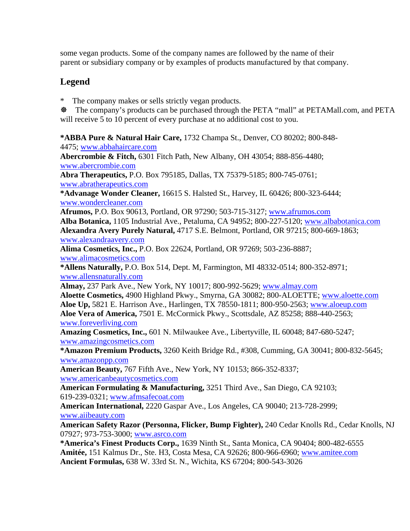some vegan products. Some of the company names are followed by the name of their parent or subsidiary company or by examples of products manufactured by that company.

## **Legend**

\* The company makes or sells strictly vegan products.

D The company's products can be purchased through the PETA "mall" at PETAMall.com, and PETA will receive 5 to 10 percent of every purchase at no additional cost to you.

**\*ABBA Pure & Natural Hair Care,** 1732 Champa St., Denver, CO 80202; 800-848- 4475; www.abbahaircare.com

**Abercrombie & Fitch,** 6301 Fitch Path, New Albany, OH 43054; 888-856-4480; www.abercrombie.com **Abra Therapeutics,** P.O. Box 795185, Dallas, TX 75379-5185; 800-745-0761; www.abratherapeutics.com **\*Advanage Wonder Cleaner,** 16615 S. Halsted St., Harvey, IL 60426; 800-323-6444; www.wondercleaner.com

**Afrumos,** P.O. Box 90613, Portland, OR 97290; 503-715-3127; www.afrumos.com **Alba Botanica,** 1105 Industrial Ave., Petaluma, CA 94952; 800-227-5120; www.albabotanica.com **Alexandra Avery Purely Natural,** 4717 S.E. Belmont, Portland, OR 97215; 800-669-1863; www.alexandraavery.com

**Alima Cosmetics, Inc.,** P.O. Box 22624, Portland, OR 97269; 503-236-8887; www.alimacosmetics.com

**\*Allens Naturally,** P.O. Box 514, Dept. M, Farmington, MI 48332-0514; 800-352-8971; www.allensnaturally.com

**Almay,** 237 Park Ave., New York, NY 10017; 800-992-5629; www.almay.com **Aloette Cosmetics,** 4900 Highland Pkwy., Smyrna, GA 30082; 800-ALOETTE; www.aloette.com **Aloe Up,** 5821 E. Harrison Ave., Harlingen, TX 78550-1811; 800-950-2563; www.aloeup.com **Aloe Vera of America,** 7501 E. McCormick Pkwy., Scottsdale, AZ 85258; 888-440-2563; www.foreverliving.com

**Amazing Cosmetics, Inc.,** 601 N. Milwaukee Ave., Libertyville, IL 60048; 847-680-5247; www.amazingcosmetics.com

**\*Amazon Premium Products,** 3260 Keith Bridge Rd., #308, Cumming, GA 30041; 800-832-5645; www.amazonpp.com

**American Beauty,** 767 Fifth Ave., New York, NY 10153; 866-352-8337; www.americanbeautycosmetics.com

**American Formulating & Manufacturing,** 3251 Third Ave., San Diego, CA 92103; 619-239-0321; www.afmsafecoat.com

**American International,** 2220 Gaspar Ave., Los Angeles, CA 90040; 213-728-2999; www.aiibeauty.com

**American Safety Razor (Personna, Flicker, Bump Fighter),** 240 Cedar Knolls Rd., Cedar Knolls, NJ 07927; 973-753-3000; www.asrco.com

**\*America's Finest Products Corp.,** 1639 Ninth St., Santa Monica, CA 90404; 800-482-6555 **Amitée,** 151 Kalmus Dr., Ste. H3, Costa Mesa, CA 92626; 800-966-6960; www.amitee.com **Ancient Formulas,** 638 W. 33rd St. N., Wichita, KS 67204; 800-543-3026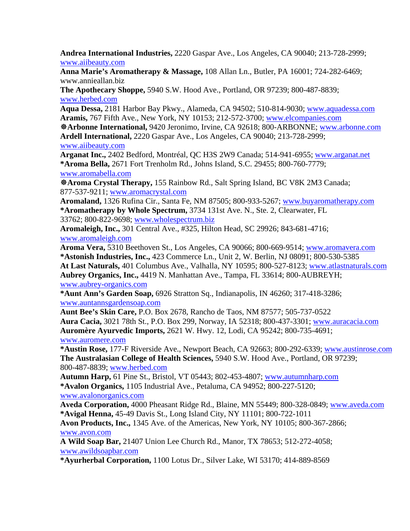**Andrea International Industries,** 2220 Gaspar Ave., Los Angeles, CA 90040; 213-728-2999; www.aiibeauty.com

**Anna Marie's Aromatherapy & Massage,** 108 Allan Ln., Butler, PA 16001; 724-282-6469; www.annieallan.biz

**The Apothecary Shoppe,** 5940 S.W. Hood Ave., Portland, OR 97239; 800-487-8839; www.herbed.com

**Aqua Dessa,** 2181 Harbor Bay Pkwy., Alameda, CA 94502; 510-814-9030; www.aquadessa.com **Aramis,** 767 Fifth Ave., New York, NY 10153; 212-572-3700; www.elcompanies.com

 $\&$  **Arbonne International,** 9420 Jeronimo, Irvine, CA 92618; 800-ARBONNE; www.arbonne.com **Ardell International,** 2220 Gaspar Ave., Los Angeles, CA 90040; 213-728-2999; www.aiibeauty.com

**Arganat Inc.,** 2402 Bedford, Montréal, QC H3S 2W9 Canada; 514-941-6955; www.arganat.net **\*Aroma Bella,** 2671 Fort Trenholm Rd., Johns Island, S.C. 29455; 800-760-7779; www.aromabella.com

 $\&$  **Aroma Crystal Therapy,** 155 Rainbow Rd., Salt Spring Island, BC V8K 2M3 Canada; 877-537-9211; www.aromacrystal.com

**Aromaland,** 1326 Rufina Cir., Santa Fe, NM 87505; 800-933-5267; www.buyaromatherapy.com **\*Aromatherapy by Whole Spectrum,** 3734 131st Ave. N., Ste. 2, Clearwater, FL 33762; 800-822-9698; www.wholespectrum.biz

**Aromaleigh, Inc.,** 301 Central Ave., #325, Hilton Head, SC 29926; 843-681-4716; www.aromaleigh.com

**Aroma Vera,** 5310 Beethoven St., Los Angeles, CA 90066; 800-669-9514; www.aromavera.com **\*Astonish Industries, Inc.,** 423 Commerce Ln., Unit 2, W. Berlin, NJ 08091; 800-530-5385 **At Last Naturals,** 401 Columbus Ave., Valhalla, NY 10595; 800-527-8123; www.atlastnaturals.com **Aubrey Organics, Inc.,** 4419 N. Manhattan Ave., Tampa, FL 33614; 800-AUBREYH; www.aubrey-organics.com

**\*Aunt Ann's Garden Soap,** 6926 Stratton Sq., Indianapolis, IN 46260; 317-418-3286; www.auntannsgardensoap.com

**Aunt Bee's Skin Care,** P.O. Box 2678, Rancho de Taos, NM 87577; 505-737-0522 **Aura Cacia,** 3021 78th St., P.O. Box 299, Norway, IA 52318; 800-437-3301; www.auracacia.com **Auromère Ayurvedic Imports,** 2621 W. Hwy. 12, Lodi, CA 95242; 800-735-4691; www.auromere.com

**\*Austin Rose,** 177-F Riverside Ave., Newport Beach, CA 92663; 800-292-6339; www.austinrose.com **The Australasian College of Health Sciences,** 5940 S.W. Hood Ave., Portland, OR 97239; 800-487-8839; www.herbed.com

**Autumn Harp,** 61 Pine St., Bristol, VT 05443; 802-453-4807; www.autumnharp.com **\*Avalon Organics,** 1105 Industrial Ave., Petaluma, CA 94952; 800-227-5120; www.avalonorganics.com

**Aveda Corporation,** 4000 Pheasant Ridge Rd., Blaine, MN 55449; 800-328-0849; www.aveda.com **\*Avigal Henna,** 45-49 Davis St., Long Island City, NY 11101; 800-722-1011

**Avon Products, Inc.,** 1345 Ave. of the Americas, New York, NY 10105; 800-367-2866; www.avon.com

**A Wild Soap Bar,** 21407 Union Lee Church Rd., Manor, TX 78653; 512-272-4058; www.awildsoapbar.com

**\*Ayurherbal Corporation,** 1100 Lotus Dr., Silver Lake, WI 53170; 414-889-8569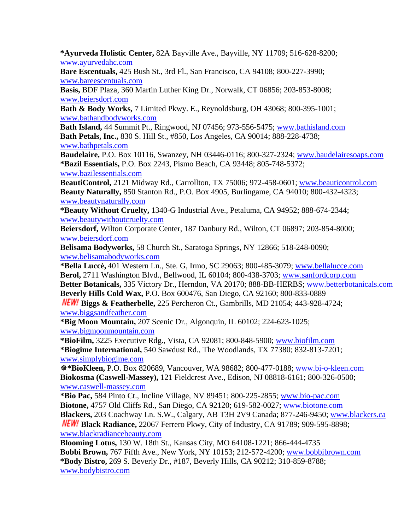**\*Ayurveda Holistic Center,** 82A Bayville Ave., Bayville, NY 11709; 516-628-8200; www.ayurvedahc.com **Bare Escentuals,** 425 Bush St., 3rd Fl., San Francisco, CA 94108; 800-227-3990; www.bareescentuals.com **Basis,** BDF Plaza, 360 Martin Luther King Dr., Norwalk, CT 06856; 203-853-8008; www.beiersdorf.com **Bath & Body Works,** 7 Limited Pkwy. E., Reynoldsburg, OH 43068; 800-395-1001; www.bathandbodyworks.com **Bath Island,** 44 Summit Pt., Ringwood, NJ 07456; 973-556-5475; www.bathisland.com **Bath Petals, Inc.,** 830 S. Hill St., #850, Los Angeles, CA 90014; 888-228-4738; www.bathpetals.com **Baudelaire,** P.O. Box 10116, Swanzey, NH 03446-0116; 800-327-2324; www.baudelairesoaps.com **\*Bazil Essentials,** P.O. Box 2243, Pismo Beach, CA 93448; 805-748-5372; www.bazilessentials.com **BeautiControl,** 2121 Midway Rd., Carrollton, TX 75006; 972-458-0601; www.beauticontrol.com **Beauty Naturally,** 850 Stanton Rd., P.O. Box 4905, Burlingame, CA 94010; 800-432-4323; www.beautynaturally.com **\*Beauty Without Cruelty,** 1340-G Industrial Ave., Petaluma, CA 94952; 888-674-2344; www.beautywithoutcruelty.com **Beiersdorf,** Wilton Corporate Center, 187 Danbury Rd., Wilton, CT 06897; 203-854-8000; www.beiersdorf.com **Belisama Bodyworks,** 58 Church St., Saratoga Springs, NY 12866; 518-248-0090; www.belisamabodyworks.com **\*Bella Luccè,** 401 Western Ln., Ste. G, Irmo, SC 29063; 800-485-3079; www.bellalucce.com **Berol,** 2711 Washington Blvd., Bellwood, IL 60104; 800-438-3703; www.sanfordcorp.com **Better Botanicals,** 335 Victory Dr., Herndon, VA 20170; 888-BB-HERBS; www.betterbotanicals.com **Beverly Hills Cold Wax,** P.O. Box 600476, San Diego, CA 92160; 800-833-0889 **Biggs & Featherbelle,** 225 Percheron Ct., Gambrills, MD 21054; 443-928-4724; www.biggsandfeather.com **\*Big Moon Mountain,** 207 Scenic Dr., Algonquin, IL 60102; 224-623-1025; www.bigmoonmountain.com **\*BioFilm,** 3225 Executive Rdg., Vista, CA 92081; 800-848-5900; www.biofilm.com **\*Biogime International,** 540 Sawdust Rd., The Woodlands, TX 77380; 832-813-7201; www.simplybiogime.com D**\*BioKleen,** P.O. Box 820689, Vancouver, WA 98682; 800-477-0188; www.bi-o-kleen.com **Biokosma (Caswell-Massey),** 121 Fieldcrest Ave., Edison, NJ 08818-6161; 800-326-0500; www.caswell-massey.com **\*Bio Pac,** 584 Pinto Ct., Incline Village, NV 89451; 800-225-2855; www.bio-pac.com **Biotone,** 4757 Old Cliffs Rd., San Diego, CA 92120; 619-582-0027; www.biotone.com **Blackers,** 203 Coachway Ln. S.W., Calgary, AB T3H 2V9 Canada; 877-246-9450; www.blackers.ca **Black Radiance,** 22067 Ferrero Pkwy, City of Industry, CA 91789; 909-595-8898; www.blackradiancebeauty.com **Blooming Lotus,** 130 W. 18th St., Kansas City, MO 64108-1221; 866-444-4735 **Bobbi Brown,** 767 Fifth Ave., New York, NY 10153; 212-572-4200; www.bobbibrown.com **\*Body Bistro,** 269 S. Beverly Dr., #187, Beverly Hills, CA 90212; 310-859-8788; www.bodybistro.com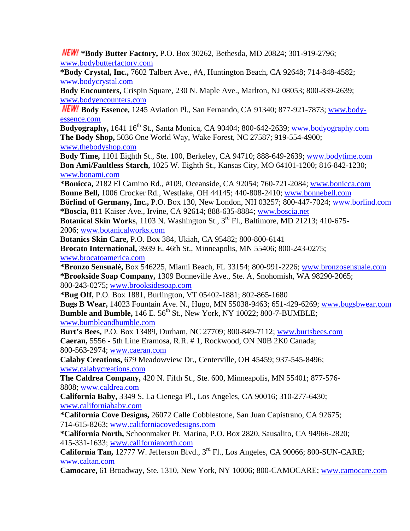**\*Body Butter Factory,** P.O. Box 30262, Bethesda, MD 20824; 301-919-2796; www.bodybutterfactory.com **\*Body Crystal, Inc.,** 7602 Talbert Ave., #A, Huntington Beach, CA 92648; 714-848-4582; www.bodycrystal.com **Body Encounters,** Crispin Square, 230 N. Maple Ave., Marlton, NJ 08053; 800-839-2639; www.bodyencounters.com **NEW!** Body Essence, 1245 Aviation Pl., San Fernando, CA 91340; 877-921-7873; www.bodyessence.com **Bodyography,** 1641 16<sup>th</sup> St., Santa Monica, CA 90404; 800-642-2639; www.bodyography.com **The Body Shop,** 5036 One World Way, Wake Forest, NC 27587; 919-554-4900; www.thebodyshop.com **Body Time,** 1101 Eighth St., Ste. 100, Berkeley, CA 94710; 888-649-2639; www.bodytime.com **Bon Ami/Faultless Starch,** 1025 W. Eighth St., Kansas City, MO 64101-1200; 816-842-1230; www.bonami.com **\*Bonicca,** 2182 El Camino Rd., #109, Oceanside, CA 92054; 760-721-2084; www.bonicca.com **Bonne Bell,** 1006 Crocker Rd., Westlake, OH 44145; 440-808-2410; www.bonnebell.com **Börlind of Germany, Inc.,** P.O. Box 130, New London, NH 03257; 800-447-7024; www.borlind.com **\*Boscia,** 811 Kaiser Ave., Irvine, CA 92614; 888-635-8884; www.boscia.net **Botanical Skin Works**, 1103 N. Washington St., 3<sup>rd</sup> Fl., Baltimore, MD 21213; 410-675-2006; www.botanicalworks.com **Botanics Skin Care,** P.O. Box 384, Ukiah, CA 95482; 800-800-6141 **Brocato International,** 3939 E. 46th St., Minneapolis, MN 55406; 800-243-0275; www.brocatoamerica.com **\*Bronzo Sensualé,** Box 546225, Miami Beach, FL 33154; 800-991-2226; www.bronzosensuale.com **\*Brookside Soap Company,** 1309 Bonneville Ave., Ste. A, Snohomish, WA 98290-2065; 800-243-0275; www.brooksidesoap.com **\*Bug Off,** P.O. Box 1881, Burlington, VT 05402-1881; 802-865-1680 **Bugs B Wear,** 14023 Fountain Ave. N., Hugo, MN 55038-9463; 651-429-6269; www.bugsbwear.com **Bumble and Bumble,** 146 E. 56<sup>th</sup> St., New York, NY 10022; 800-7-BUMBLE; www.bumbleandbumble.com **Burt's Bees,** P.O. Box 13489, Durham, NC 27709; 800-849-7112; www.burtsbees.com **Caeran,** 5556 - 5th Line Eramosa, R.R. # 1, Rockwood, ON N0B 2K0 Canada; 800-563-2974; www.caeran.com **Calaby Creations,** 679 Meadowview Dr., Centerville, OH 45459; 937-545-8496; www.calabycreations.com **The Caldrea Company,** 420 N. Fifth St., Ste. 600, Minneapolis, MN 55401; 877-576- 8808; www.caldrea.com **California Baby,** 3349 S. La Cienega Pl., Los Angeles, CA 90016; 310-277-6430; www.californiababy.com **\*California Cove Designs,** 26072 Calle Cobblestone, San Juan Capistrano, CA 92675; 714-615-8263; www.californiacovedesigns.com **\*California North,** Schoonmaker Pt. Marina, P.O. Box 2820, Sausalito, CA 94966-2820; 415-331-1633; www.californianorth.com **California Tan,** 12777 W. Jefferson Blvd., 3rd Fl., Los Angeles, CA 90066; 800-SUN-CARE; www.caltan.com **Camocare,** 61 Broadway, Ste. 1310, New York, NY 10006; 800-CAMOCARE; www.camocare.com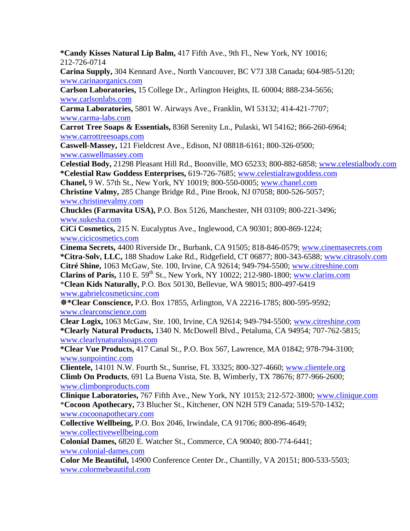**\*Candy Kisses Natural Lip Balm,** 417 Fifth Ave., 9th Fl., New York, NY 10016; 212-726-0714 **Carina Supply,** 304 Kennard Ave., North Vancouver, BC V7J 3J8 Canada; 604-985-5120; www.carinaorganics.com **Carlson Laboratories,** 15 College Dr., Arlington Heights, IL 60004; 888-234-5656; www.carlsonlabs.com **Carma Laboratories,** 5801 W. Airways Ave., Franklin, WI 53132; 414-421-7707; www.carma-labs.com **Carrot Tree Soaps & Essentials,** 8368 Serenity Ln., Pulaski, WI 54162; 866-260-6964; www.carrottreesoaps.com **Caswell-Massey,** 121 Fieldcrest Ave., Edison, NJ 08818-6161; 800-326-0500; www.caswellmassey.com **Celestial Body,** 21298 Pleasant Hill Rd., Boonville, MO 65233; 800-882-6858; www.celestialbody.com **\*Celestial Raw Goddess Enterprises,** 619-726-7685; www.celestialrawgoddess.com **Chanel,** 9 W. 57th St., New York, NY 10019; 800-550-0005; www.chanel.com **Christine Valmy,** 285 Change Bridge Rd., Pine Brook, NJ 07058; 800-526-5057; www.christinevalmy.com **Chuckles (Farmavita USA),** P.O. Box 5126, Manchester, NH 03109; 800-221-3496; www.sukesha.com **CiCi Cosmetics,** 215 N. Eucalyptus Ave., Inglewood, CA 90301; 800-869-1224; www.cicicosmetics.com **Cinema Secrets,** 4400 Riverside Dr., Burbank, CA 91505; 818-846-0579; www.cinemasecrets.com **\*Citra-Solv, LLC,** 188 Shadow Lake Rd., Ridgefield, CT 06877; 800-343-6588; www.citrasolv.com **Citré Shine,** 1063 McGaw, Ste. 100, Irvine, CA 92614; 949-794-5500; www.citreshine.com **Clarins of Paris,** 110 E. 59<sup>th</sup> St., New York, NY 10022; 212-980-1800; www.clarins.com \***Clean Kids Naturally,** P.O. Box 50130, Bellevue, WA 98015; 800-497-6419 www.gabrielcosmeticsinc.com D**\*Clear Conscience,** P.O. Box 17855, Arlington, VA 22216-1785; 800-595-9592; www.clearconscience.com **Clear Logix,** 1063 McGaw, Ste. 100, Irvine, CA 92614; 949-794-5500; www.citreshine.com **\*Clearly Natural Products,** 1340 N. McDowell Blvd., Petaluma, CA 94954; 707-762-5815; www.clearlynaturalsoaps.com **\*Clear Vue Products,** 417 Canal St., P.O. Box 567, Lawrence, MA 01842; 978-794-3100; www.sunpointinc.com **Clientele,** 14101 N.W. Fourth St., Sunrise, FL 33325; 800-327-4660; www.clientele.org **Climb On Products**, 691 La Buena Vista, Ste. B, Wimberly, TX 78676; 877-966-2600; www.climbonproducts.com **Clinique Laboratories,** 767 Fifth Ave., New York, NY 10153; 212-572-3800; www.clinique.com \***Cocoon Apothecary,** 73 Blucher St., Kitchener, ON N2H 5T9 Canada; 519-570-1432; www.cocoonapothecary.com **Collective Wellbeing,** P.O. Box 2046, Irwindale, CA 91706; 800-896-4649; www.collectivewellbeing.com **Colonial Dames,** 6820 E. Watcher St., Commerce, CA 90040; 800-774-6441; www.colonial-dames.com **Color Me Beautiful,** 14900 Conference Center Dr., Chantilly, VA 20151; 800-533-5503; www.colormebeautiful.com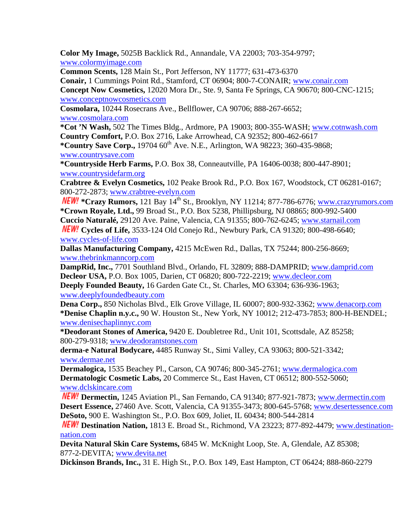**Color My Image,** 5025B Backlick Rd., Annandale, VA 22003; 703-354-9797; www.colormyimage.com **Common Scents,** 128 Main St., Port Jefferson, NY 11777; 631-473-6370 **Conair,** 1 Cummings Point Rd., Stamford, CT 06904; 800-7-CONAIR; www.conair.com **Concept Now Cosmetics,** 12020 Mora Dr., Ste. 9, Santa Fe Springs, CA 90670; 800-CNC-1215; www.conceptnowcosmetics.com **Cosmolara,** 10244 Rosecrans Ave., Bellflower, CA 90706; 888-267-6652; www.cosmolara.com **\*Cot 'N Wash,** 502 The Times Bldg., Ardmore, PA 19003; 800-355-WASH; www.cotnwash.com **Country Comfort,** P.O. Box 2716, Lake Arrowhead, CA 92352; 800-462-6617 \***Country Save Corp.,** 19704 60<sup>th</sup> Ave. N.E., Arlington, WA 98223; 360-435-9868; www.countrysave.com **\*Countryside Herb Farms,** P.O. Box 38, Conneautville, PA 16406-0038; 800-447-8901; www.countrysidefarm.org **Crabtree & Evelyn Cosmetics,** 102 Peake Brook Rd., P.O. Box 167, Woodstock, CT 06281-0167; 800-272-2873; www.crabtree-evelyn.com *NEW!* \*Crazy Rumors, 121 Bay 14<sup>th</sup> St., Brooklyn, NY 11214; 877-786-6776; www.crazyrumors.com **\*Crown Royale, Ltd.,** 99 Broad St., P.O. Box 5238, Phillipsburg, NJ 08865; 800-992-5400 **Cuccio Naturalé,** 29120 Ave. Paine, Valencia, CA 91355; 800-762-6245; www.starnail.com **Cycles of Life,** 3533-124 Old Conejo Rd., Newbury Park, CA 91320; 800-498-6640; www.cycles-of-life.com **Dallas Manufacturing Company,** 4215 McEwen Rd., Dallas, TX 75244; 800-256-8669; www.thebrinkmanncorp.com **DampRid, Inc.,** 7701 Southland Blvd., Orlando, FL 32809; 888-DAMPRID; www.damprid.com **Decleor USA,** P.O. Box 1005, Darien, CT 06820; 800-722-2219; www.decleor.com **Deeply Founded Beauty,** 16 Garden Gate Ct., St. Charles, MO 63304; 636-936-1963; www.deeplyfoundedbeauty.com **Dena Corp.,** 850 Nicholas Blvd., Elk Grove Village, IL 60007; 800-932-3362; www.denacorp.com **\*Denise Chaplin n.y.c.,** 90 W. Houston St., New York, NY 10012; 212-473-7853; 800-H-BENDEL; www.denisechaplinnyc.com **\*Deodorant Stones of America,** 9420 E. Doubletree Rd., Unit 101, Scottsdale, AZ 85258; 800-279-9318; www.deodorantstones.com **derma-e Natural Bodycare,** 4485 Runway St., Simi Valley, CA 93063; 800-521-3342; www.dermae.net **Dermalogica,** 1535 Beachey Pl., Carson, CA 90746; 800-345-2761; www.dermalogica.com **Dermatologic Cosmetic Labs,** 20 Commerce St., East Haven, CT 06512; 800-552-5060; www.dclskincare.com **Dermectin,** 1245 Aviation Pl., San Fernando, CA 91340; 877-921-7873; www.dermectin.com **Desert Essence,** 27460 Ave. Scott, Valencia, CA 91355-3473; 800-645-5768; www.desertessence.com **DeSoto,** 900 E. Washington St., P.O. Box 609, Joliet, IL 60434; 800-544-2814 **Destination Nation,** 1813 E. Broad St., Richmond, VA 23223; 877-892-4479; www.destinationnation.com **Devita Natural Skin Care Systems,** 6845 W. McKnight Loop, Ste. A, Glendale, AZ 85308;

877-2-DEVITA; www.devita.net

**Dickinson Brands, Inc.,** 31 E. High St., P.O. Box 149, East Hampton, CT 06424; 888-860-2279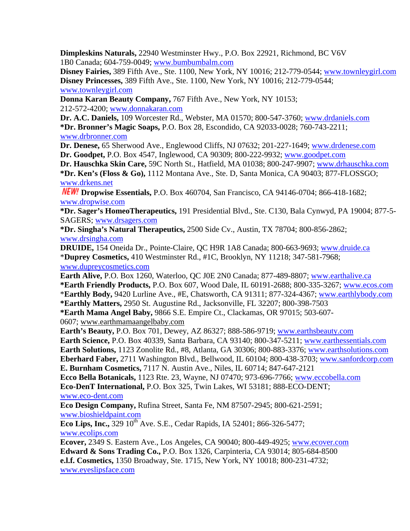**Dimpleskins Naturals,** 22940 Westminster Hwy., P.O. Box 22921, Richmond, BC V6V 1B0 Canada; 604-759-0049; www.bumbumbalm.com

**Disney Fairies,** 389 Fifth Ave., Ste. 1100, New York, NY 10016; 212-779-0544; www.townleygirl.com **Disney Princesses,** 389 Fifth Ave., Ste. 1100, New York, NY 10016; 212-779-0544; www.townleygirl.com

**Donna Karan Beauty Company,** 767 Fifth Ave., New York, NY 10153; 212-572-4200; www.donnakaran.com

**Dr. A.C. Daniels,** 109 Worcester Rd., Webster, MA 01570; 800-547-3760; www.drdaniels.com **\*Dr. Bronner's Magic Soaps,** P.O. Box 28, Escondido, CA 92033-0028; 760-743-2211; www.drbronner.com

**Dr. Denese,** 65 Sherwood Ave., Englewood Cliffs, NJ 07632; 201-227-1649; www.drdenese.com **Dr. Goodpet,** P.O. Box 4547, Inglewood, CA 90309; 800-222-9932; www.goodpet.com

**Dr. Hauschka Skin Care,** 59C North St., Hatfield, MA 01038; 800-247-9907; www.drhauschka.com **\*Dr. Ken's (Floss & Go),** 1112 Montana Ave., Ste. D, Santa Monica, CA 90403; 877-FLOSSGO; www.drkens.net

**Dropwise Essentials,** P.O. Box 460704, San Francisco, CA 94146-0704; 866-418-1682; www.dropwise.com

**\*Dr. Sager's HomeoTherapeutics,** 191 Presidential Blvd., Ste. C130, Bala Cynwyd, PA 19004; 877-5- SAGERS; www.drsagers.com

**\*Dr. Singha's Natural Therapeutics,** 2500 Side Cv., Austin, TX 78704; 800-856-2862; www.drsingha.com

**DRUIDE,** 154 Oneida Dr., Pointe-Claire, QC H9R 1A8 Canada; 800-663-9693; www.druide.ca \***Duprey Cosmetics,** 410 Westminster Rd., #1C, Brooklyn, NY 11218; 347-581-7968; www.dupreycosmetics.com

**Earth Alive,** P.O. Box 1260, Waterloo, QC J0E 2N0 Canada; 877-489-8807; www.earthalive.ca **\*Earth Friendly Products,** P.O. Box 607, Wood Dale, IL 60191-2688; 800-335-3267; www.ecos.com \***Earthly Body,** 9420 Lurline Ave., #E, Chatsworth, CA 91311; 877-324-4367; www.earthlybody.com

**\*Earthly Matters,** 2950 St. Augustine Rd., Jacksonville, FL 32207; 800-398-7503

**\*Earth Mama Angel Baby,** 9866 S.E. Empire Ct., Clackamas, OR 97015; 503-607- 0607; www.earthmamaangelbaby.com

**Earth's Beauty,** P.O. Box 701, Dewey, AZ 86327; 888-586-9719; www.earthsbeauty.com **Earth Science,** P.O. Box 40339, Santa Barbara, CA 93140; 800-347-5211; www.earthessentials.com **Earth Solutions,** 1123 Zonolite Rd., #8, Atlanta, GA 30306; 800-883-3376; www.earthsolutions.com **Eberhard Faber,** 2711 Washington Blvd., Bellwood, IL 60104; 800-438-3703; www.sanfordcorp.com **E. Burnham Cosmetics,** 7117 N. Austin Ave., Niles, IL 60714; 847-647-2121

**Ecco Bella Botanicals,** 1123 Rte. 23, Wayne, NJ 07470; 973-696-7766; www.eccobella.com **Eco-DenT International,** P.O. Box 325, Twin Lakes, WI 53181; 888-ECO-DENT;

## www.eco-dent.com

**Eco Design Company,** Rufina Street, Santa Fe, NM 87507-2945; 800-621-2591; www.bioshieldpaint.com

**Eco Lips, Inc.,** 329 10<sup>th</sup> Ave. S.E., Cedar Rapids, IA 52401; 866-326-5477; www.ecolips.com

**Ecover,** 2349 S. Eastern Ave., Los Angeles, CA 90040; 800-449-4925; www.ecover.com **Edward & Sons Trading Co.,** P.O. Box 1326, Carpinteria, CA 93014; 805-684-8500 **e.l.f. Cosmetics,** 1350 Broadway, Ste. 1715, New York, NY 10018; 800-231-4732; www.eyeslipsface.com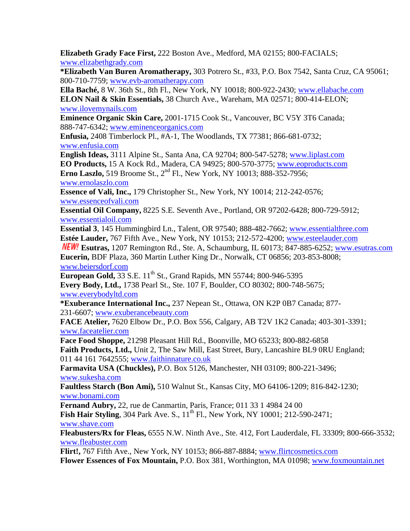**Elizabeth Grady Face First,** 222 Boston Ave., Medford, MA 02155; 800-FACIALS; www.elizabethgrady.com

**\*Elizabeth Van Buren Aromatherapy,** 303 Potrero St., #33, P.O. Box 7542, Santa Cruz, CA 95061; 800-710-7759; www.evb-aromatherapy.com

**Ella Baché,** 8 W. 36th St., 8th Fl., New York, NY 10018; 800-922-2430; www.ellabache.com **ELON Nail & Skin Essentials,** 38 Church Ave., Wareham, MA 02571; 800-414-ELON; www.ilovemynails.com

**Eminence Organic Skin Care,** 2001-1715 Cook St., Vancouver, BC V5Y 3T6 Canada; 888-747-6342; www.eminenceorganics.com

**Enfusia,** 2408 Timberlock Pl., #A-1, The Woodlands, TX 77381; 866-681-0732; www.enfusia.com

**English Ideas,** 3111 Alpine St., Santa Ana, CA 92704; 800-547-5278; www.liplast.com **EO Products,** 15 A Kock Rd., Madera, CA 94925; 800-570-3775; www.eoproducts.com **Erno Laszlo,** 519 Broome St., 2<sup>nd</sup> Fl., New York, NY 10013; 888-352-7956; www.ernolaszlo.com

**Essence of Vali, Inc.,** 179 Christopher St., New York, NY 10014; 212-242-0576; www.essenceofvali.com

**Essential Oil Company,** 8225 S.E. Seventh Ave., Portland, OR 97202-6428; 800-729-5912; www.essentialoil.com

**Essential 3**, 145 Hummingbird Ln., Talent, OR 97540; 888-482-7662; www.essentialthree.com **Estée Lauder,** 767 Fifth Ave., New York, NY 10153; 212-572-4200; www.esteelauder.com

**Esutras,** 1207 Remington Rd., Ste. A, Schaumburg, IL 60173; 847-885-6252; www.esutras.com **Eucerin,** BDF Plaza, 360 Martin Luther King Dr., Norwalk, CT 06856; 203-853-8008; www.beiersdorf.com

**European Gold,** 33 S.E. 11<sup>th</sup> St., Grand Rapids, MN 55744; 800-946-5395

**Every Body, Ltd.,** 1738 Pearl St., Ste. 107 F, Boulder, CO 80302; 800-748-5675; www.everybodyltd.com

**\*Exuberance International Inc.,** 237 Nepean St., Ottawa, ON K2P 0B7 Canada; 877- 231-6607; www.exuberancebeauty.com

**FACE Atelier,** 7620 Elbow Dr., P.O. Box 556, Calgary, AB T2V 1K2 Canada; 403-301-3391; www.faceatelier.com

**Face Food Shoppe,** 21298 Pleasant Hill Rd., Boonville, MO 65233; 800-882-6858 **Faith Products, Ltd.,** Unit 2, The Saw Mill, East Street, Bury, Lancashire BL9 0RU England; 011 44 161 7642555; www.faithinnature.co.uk

**Farmavita USA (Chuckles),** P.O. Box 5126, Manchester, NH 03109; 800-221-3496; www.sukesha.com

**Faultless Starch (Bon Ami),** 510 Walnut St., Kansas City, MO 64106-1209; 816-842-1230; www.bonami.com

**Fernand Aubry,** 22, rue de Canmartin, Paris, France; 011 33 1 4984 24 00

**Fish Hair Styling**, 304 Park Ave. S., 11<sup>th</sup> Fl., New York, NY 10001; 212-590-2471; www.shave.com

**Fleabusters/Rx for Fleas,** 6555 N.W. Ninth Ave., Ste. 412, Fort Lauderdale, FL 33309; 800-666-3532; www.fleabuster.com

**Flirt!,** 767 Fifth Ave., New York, NY 10153; 866-887-8884; www.flirtcosmetics.com **Flower Essences of Fox Mountain,** P.O. Box 381, Worthington, MA 01098; www.foxmountain.net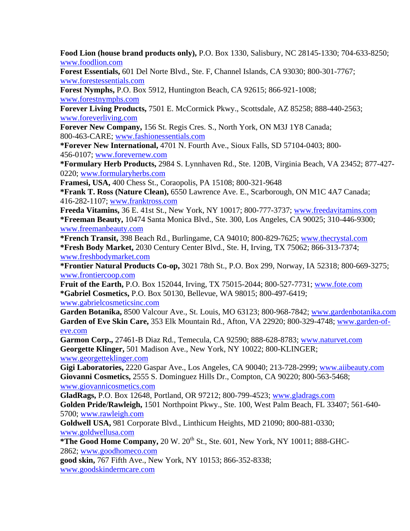**Food Lion (house brand products only),** P.O. Box 1330, Salisbury, NC 28145-1330; 704-633-8250; www.foodlion.com

**Forest Essentials,** 601 Del Norte Blvd., Ste. F, Channel Islands, CA 93030; 800-301-7767; www.forestessentials.com

**Forest Nymphs,** P.O. Box 5912, Huntington Beach, CA 92615; 866-921-1008; www.forestnymphs.com

**Forever Living Products,** 7501 E. McCormick Pkwy., Scottsdale, AZ 85258; 888-440-2563; www.foreverliving.com

**Forever New Company,** 156 St. Regis Cres. S., North York, ON M3J 1Y8 Canada; 800-463-CARE; www.fashionessentials.com

**\*Forever New International,** 4701 N. Fourth Ave., Sioux Falls, SD 57104-0403; 800- 456-0107; www.forevernew.com

**\*Formulary Herb Products,** 2984 S. Lynnhaven Rd., Ste. 120B, Virginia Beach, VA 23452; 877-427- 0220; www.formularyherbs.com

**Framesi, USA,** 400 Chess St., Coraopolis, PA 15108; 800-321-9648

**\*Frank T. Ross (Nature Clean),** 6550 Lawrence Ave. E., Scarborough, ON M1C 4A7 Canada; 416-282-1107; www.franktross.com

**Freeda Vitamins,** 36 E. 41st St., New York, NY 10017; 800-777-3737; www.freedavitamins.com **\*Freeman Beauty,** 10474 Santa Monica Blvd., Ste. 300, Los Angeles, CA 90025; 310-446-9300; www.freemanbeauty.com

**\*French Transit,** 398 Beach Rd., Burlingame, CA 94010; 800-829-7625; www.thecrystal.com **\*Fresh Body Market,** 2030 Century Center Blvd., Ste. H, Irving, TX 75062; 866-313-7374; www.freshbodymarket.com

**\*Frontier Natural Products Co-op,** 3021 78th St., P.O. Box 299, Norway, IA 52318; 800-669-3275; www.frontiercoop.com

**Fruit of the Earth,** P.O. Box 152044, Irving, TX 75015-2044; 800-527-7731; www.fote.com **\*Gabriel Cosmetics,** P.O. Box 50130, Bellevue, WA 98015; 800-497-6419; www.gabrielcosmeticsinc.com

**Garden Botanika,** 8500 Valcour Ave., St. Louis, MO 63123; 800-968-7842; www.gardenbotanika.com **Garden of Eve Skin Care,** 353 Elk Mountain Rd., Afton, VA 22920; 800-329-4748; www.garden-ofeve.com

**Garmon Corp.,** 27461-B Diaz Rd., Temecula, CA 92590; 888-628-8783; www.naturvet.com **Georgette Klinger,** 501 Madison Ave., New York, NY 10022; 800-KLINGER; www.georgetteklinger.com

**Gigi Laboratories,** 2220 Gaspar Ave., Los Angeles, CA 90040; 213-728-2999; www.aiibeauty.com **Giovanni Cosmetics,** 2555 S. Dominguez Hills Dr., Compton, CA 90220; 800-563-5468; www.giovannicosmetics.com

**GladRags,** P.O. Box 12648, Portland, OR 97212; 800-799-4523; www.gladrags.com **Golden Pride/Rawleigh,** 1501 Northpoint Pkwy., Ste. 100, West Palm Beach, FL 33407; 561-640- 5700; www.rawleigh.com

**Goldwell USA,** 981 Corporate Blvd., Linthicum Heights, MD 21090; 800-881-0330; www.goldwellusa.com

\*The Good Home Company,  $20 \text{ W}$ .  $20^{\text{th}}$  St., Ste. 601, New York, NY 10011; 888-GHC-2862; www.goodhomeco.com

**good skin,** 767 Fifth Ave., New York, NY 10153; 866-352-8338;

www.goodskindermcare.com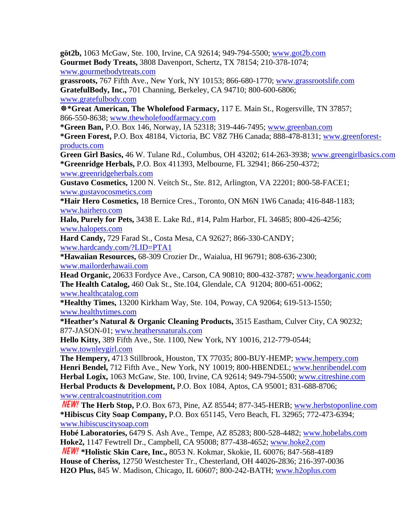**göt2b,** 1063 McGaw, Ste. 100, Irvine, CA 92614; 949-794-5500; www.got2b.com **Gourmet Body Treats,** 3808 Davenport, Schertz, TX 78154; 210-378-1074; www.gourmetbodytreats.com **grassroots,** 767 Fifth Ave., New York, NY 10153; 866-680-1770; www.grassrootslife.com **GratefulBody, Inc.,** 701 Channing, Berkeley, CA 94710; 800-600-6806; www.gratefulbody.com D**\*Great American, The Wholefood Farmacy,** 117 E. Main St., Rogersville, TN 37857; 866-550-8638; www.thewholefoodfarmacy.com **\*Green Ban,** P.O. Box 146, Norway, IA 52318; 319-446-7495; www.greenban.com **\*Green Forest,** P.O. Box 48184, Victoria, BC V8Z 7H6 Canada; 888-478-8131; www.greenforestproducts.com **Green Girl Basics,** 46 W. Tulane Rd., Columbus, OH 43202; 614-263-3938; www.greengirlbasics.com **\*Greenridge Herbals,** P.O. Box 411393, Melbourne, FL 32941; 866-250-4372; www.greenridgeherbals.com **Gustavo Cosmetics,** 1200 N. Veitch St., Ste. 812, Arlington, VA 22201; 800-58-FACE1; www.gustavocosmetics.com **\*Hair Hero Cosmetics,** 18 Bernice Cres., Toronto, ON M6N 1W6 Canada; 416-848-1183; www.hairhero.com **Halo, Purely for Pets,** 3438 E. Lake Rd., #14, Palm Harbor, FL 34685; 800-426-4256; www.halopets.com **Hard Candy,** 729 Farad St., Costa Mesa, CA 92627; 866-330-CANDY; www.hardcandy.com/?LID=PTA1 **\*Hawaiian Resources,** 68-309 Crozier Dr., Waialua, HI 96791; 808-636-2300; www.mailorderhawaii.com **Head Organic,** 20633 Fordyce Ave., Carson, CA 90810; 800-432-3787; www.headorganic.com **The Health Catalog,** 460 Oak St., Ste.104, Glendale, CA 91204; 800-651-0062; www.healthcatalog.com **\*Healthy Times,** 13200 Kirkham Way, Ste. 104, Poway, CA 92064; 619-513-1550; www.healthytimes.com **\*Heather's Natural & Organic Cleaning Products,** 3515 Eastham, Culver City, CA 90232; 877-JASON-01; www.heathersnaturals.com **Hello Kitty,** 389 Fifth Ave., Ste. 1100, New York, NY 10016, 212-779-0544; www.townleygirl.com **The Hempery,** 4713 Stillbrook, Houston, TX 77035; 800-BUY-HEMP; www.hempery.com **Henri Bendel,** 712 Fifth Ave., New York, NY 10019; 800-HBENDEL; www.henribendel.com **Herbal Logix,** 1063 McGaw, Ste. 100, Irvine, CA 92614; 949-794-5500; www.citreshine.com **Herbal Products & Development,** P.O. Box 1084, Aptos, CA 95001; 831-688-8706; www.centralcoastnutrition.com **The Herb Stop,** P.O. Box 673, Pine, AZ 85544; 877-345-HERB; www.herbstoponline.com **\*Hibiscus City Soap Company,** P.O. Box 651145, Vero Beach, FL 32965; 772-473-6394; www.hibiscuscitysoap.com **Hobé Laboratories,** 6479 S. Ash Ave., Tempe, AZ 85283; 800-528-4482; www.hobelabs.com **Hoke2,** 1147 Fewtrell Dr., Campbell, CA 95008; 877-438-4652; www.hoke2.com

*NEW!* \*Holistic Skin Care, Inc., 8053 N. Kokmar, Skokie, IL 60076; 847-568-4189 **House of Cheriss,** 12750 Westchester Tr., Chesterland, OH 44026**-**2836; 216-397-0036 **H2O Plus,** 845 W. Madison, Chicago, IL 60607; 800-242-BATH; www.h2oplus.com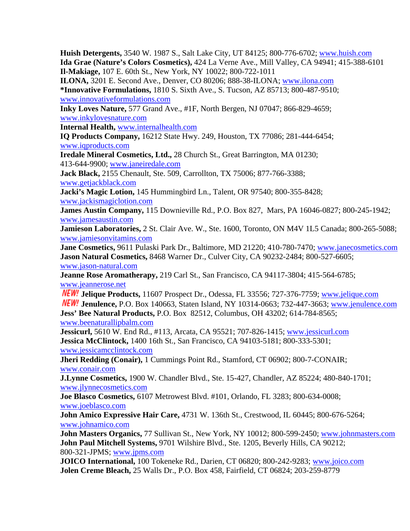**Huish Detergents,** 3540 W. 1987 S., Salt Lake City, UT 84125; 800-776-6702; www.huish.com **Ida Grae (Nature's Colors Cosmetics),** 424 La Verne Ave., Mill Valley, CA 94941; 415-388-6101 **Il-Makiage,** 107 E. 60th St., New York, NY 10022; 800-722-1011

**ILONA,** 3201 E. Second Ave., Denver, CO 80206; 888-38-ILONA; www.ilona.com **\*Innovative Formulations,** 1810 S. Sixth Ave., S. Tucson, AZ 85713; 800-487-9510; www.innovativeformulations.com

**Inky Loves Nature,** 577 Grand Ave., #1F, North Bergen, NJ 07047; 866-829-4659; www.inkylovesnature.com

**Internal Health,** www.internalhealth.com

**IQ Products Company,** 16212 State Hwy. 249, Houston, TX 77086; 281-444-6454; www.iqproducts.com

**Iredale Mineral Cosmetics, Ltd.,** 28 Church St., Great Barrington, MA 01230; 413-644-9900; www.janeiredale.com

**Jack Black,** 2155 Chenault, Ste. 509, Carrollton, TX 75006; 877-766-3388; www.getjackblack.com

**Jacki's Magic Lotion,** 145 Hummingbird Ln., Talent, OR 97540; 800-355-8428; www.jackismagiclotion.com

**James Austin Company,** 115 Downieville Rd., P.O. Box 827, Mars, PA 16046-0827; 800-245-1942; www.jamesaustin.com

**Jamieson Laboratories,** 2 St. Clair Ave. W., Ste. 1600, Toronto, ON M4V 1L5 Canada; 800-265-5088; www.jamiesonvitamins.com

**Jane Cosmetics,** 9611 Pulaski Park Dr., Baltimore, MD 21220; 410-780-7470; www.janecosmetics.com **Jason Natural Cosmetics,** 8468 Warner Dr., Culver City, CA 90232-2484; 800-527-6605; www.jason-natural.com

**Jeanne Rose Aromatherapy,** 219 Carl St., San Francisco, CA 94117-3804; 415-564-6785; www.jeannerose.net

**Jelique Products,** 11607 Prospect Dr., Odessa, FL 33556; 727-376-7759; www.jelique.com **Jenulence,** P.O. Box 140663, Staten Island, NY 10314-0663; 732-447-3663; www.jenulence.com **Jess' Bee Natural Products,** P.O. Box 82512, Columbus, OH 43202; 614-784-8565; www.beenaturallipbalm.com

**Jessicurl,** 5610 W. End Rd., #113, Arcata, CA 95521; 707-826-1415; www.jessicurl.com **Jessica McClintock,** 1400 16th St., San Francisco, CA 94103-5181; 800-333-5301; www.jessicamcclintock.com

**Jheri Redding (Conair),** 1 Cummings Point Rd., Stamford, CT 06902; 800-7-CONAIR; www.conair.com

**J.Lynne Cosmetics,** 1900 W. Chandler Blvd., Ste. 15-427, Chandler, AZ 85224; 480-840-1701; www.jlynnecosmetics.com

**Joe Blasco Cosmetics,** 6107 Metrowest Blvd. #101, Orlando, FL 3283; 800-634-0008; www.joeblasco.com

**John Amico Expressive Hair Care,** 4731 W. 136th St., Crestwood, IL 60445; 800-676-5264; www.johnamico.com

**John Masters Organics,** 77 Sullivan St., New York, NY 10012; 800-599-2450; www.johnmasters.com **John Paul Mitchell Systems,** 9701 Wilshire Blvd., Ste. 1205, Beverly Hills, CA 90212; 800-321-JPMS; www.jpms.com

**JOICO International,** 100 Tokeneke Rd., Darien, CT 06820; 800-242-9283; www.joico.com **Jolen Creme Bleach,** 25 Walls Dr., P.O. Box 458, Fairfield, CT 06824; 203-259-8779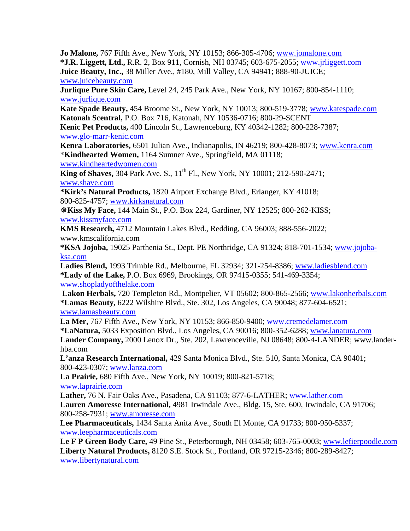**Jo Malone,** 767 Fifth Ave., New York, NY 10153; 866-305-4706; www.jomalone.com **\*J.R. Liggett, Ltd.,** R.R. 2, Box 911, Cornish, NH 03745; 603-675-2055; www.jrliggett.com **Juice Beauty, Inc.,** 38 Miller Ave., #180, Mill Valley, CA 94941; 888-90-JUICE; www.juicebeauty.com **Jurlique Pure Skin Care,** Level 24, 245 Park Ave., New York, NY 10167; 800-854-1110; www.jurlique.com **Kate Spade Beauty,** 454 Broome St., New York, NY 10013; 800-519-3778; www.katespade.com **Katonah Scentral,** P.O. Box 716, Katonah, NY 10536-0716; 800-29-SCENT **Kenic Pet Products,** 400 Lincoln St., Lawrenceburg, KY 40342-1282; 800-228-7387; www.glo-marr-kenic.com **Kenra Laboratories,** 6501 Julian Ave., Indianapolis, IN 46219; 800-428-8073; www.kenra.com **\*Kindhearted Women,** 1164 Sumner Ave., Springfield, MA 01118; www.kindheartedwomen.com **King of Shaves, 304 Park Ave. S., 11<sup>th</sup> Fl., New York, NY 10001; 212-590-2471;** www.shave.com **\*Kirk's Natural Products,** 1820 Airport Exchange Blvd., Erlanger, KY 41018; 800-825-4757; www.kirksnatural.com  $\&$  **Kiss My Face,** 144 Main St., P.O. Box 224, Gardiner, NY 12525; 800-262-KISS; www.kissmyface.com **KMS Research,** 4712 Mountain Lakes Blvd., Redding, CA 96003; 888-556-2022; www.kmscalifornia.com **\*KSA Jojoba,** 19025 Parthenia St., Dept. PE Northridge, CA 91324; 818-701-1534; www.jojobaksa.com **Ladies Blend,** 1993 Trimble Rd., Melbourne, FL 32934; 321-254-8386; www.ladiesblend.com **\*Lady of the Lake,** P.O. Box 6969, Brookings, OR 97415-0355; 541-469-3354; www.shopladyofthelake.com  **Lakon Herbals,** 720 Templeton Rd., Montpelier, VT 05602; 800-865-2566; www.lakonherbals.com **\*Lamas Beauty,** 6222 Wilshire Blvd., Ste. 302, Los Angeles, CA 90048; 877-604-6521; www.lamasbeauty.com **La Mer,** 767 Fifth Ave., New York, NY 10153; 866-850-9400; www.cremedelamer.com **\*LaNatura,** 5033 Exposition Blvd., Los Angeles, CA 90016; 800-352-6288; www.lanatura.com **Lander Company,** 2000 Lenox Dr., Ste. 202, Lawrenceville, NJ 08648; 800-4-LANDER; www.landerhba.com **L'anza Research International,** 429 Santa Monica Blvd., Ste. 510, Santa Monica, CA 90401; 800-423-0307; www.lanza.com **La Prairie,** 680 Fifth Ave., New York, NY 10019; 800-821-5718; www.laprairie.com **Lather,** 76 N. Fair Oaks Ave., Pasadena, CA 91103; 877-6-LATHER; www.lather.com **Lauren Amoresse International,** 4981 Irwindale Ave., Bldg. 15, Ste. 600, Irwindale, CA 91706; 800-258-7931; www.amoresse.com **Lee Pharmaceuticals,** 1434 Santa Anita Ave., South El Monte, CA 91733; 800-950-5337; www.leepharmaceuticals.com **Le F P Green Body Care,** 49 Pine St., Peterborough, NH 03458; 603-765-0003; www.lefierpoodle.com **Liberty Natural Products,** 8120 S.E. Stock St., Portland, OR 97215-2346; 800-289-8427;

www.libertynatural.com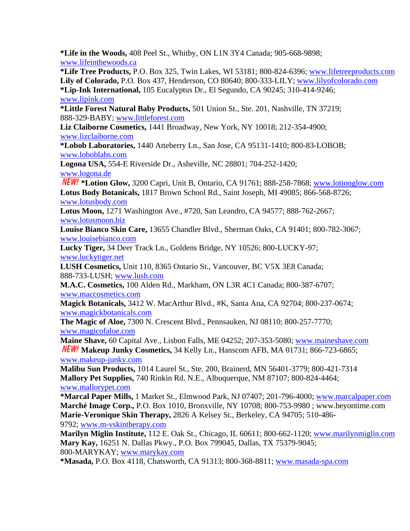**\*Life in the Woods,** 408 Peel St., Whitby, ON L1N 3Y4 Canada; 905-668-9898; www.lifeinthewoods.ca

**\*Life Tree Products,** P.O. Box 325, Twin Lakes, WI 53181; 800-824-6396; www.lifetreeproducts.com **Lily of Colorado,** P.O. Box 437, Henderson, CO 80640; 800-333-LILY; www.lilyofcolorado.com **\*Lip-Ink International,** 105 Eucalyptus Dr., El Segundo, CA 90245; 310-414-9246; www.lipink.com

**\*Little Forest Natural Baby Products,** 501 Union St., Ste. 201, Nashville, TN 37219; 888-329-BABY; www.littleforest.com

**Liz Claiborne Cosmetics,** 1441 Broadway, New York, NY 10018; 212-354-4900; www.lizclaiborne.com

**\*Lobob Laboratories,** 1440 Atteberry Ln., San Jose, CA 95131-1410; 800-83-LOBOB; www.loboblabs.com

**Logona USA,** 554-E Riverside Dr., Asheville, NC 28801; 704-252-1420; www.logona.de

**NEW!** \*Lotion Glow, 3200 Capri, Unit B, Ontario, CA 91761; 888-258-7868; www.lotionglow.com **Lotus Body Botanicals,** 1817 Brown School Rd., Saint Joseph, MI 49085; 866-568-8726; www.lotusbody.com

**Lotus Moon,** 1271 Washington Ave., #720, San Leandro, CA 94577; 888-762-2667; www.lotusmoon.biz

**Louise Bianco Skin Care,** 13655 Chandler Blvd., Sherman Oaks, CA 91401; 800-782-3067; www.louisebianco.com

**Lucky Tiger,** 34 Deer Track Ln., Goldens Bridge, NY 10526; 800-LUCKY-97; www.luckytiger.net

**LUSH Cosmetics,** Unit 110, 8365 Ontario St., Vancouver, BC V5X 3E8 Canada; 888-733-LUSH; www.lush.com

**M.A.C. Cosmetics,** 100 Alden Rd., Markham, ON L3R 4C1 Canada; 800-387-6707; www.maccosmetics.com

**Magick Botanicals,** 3412 W. MacArthur Blvd., #K, Santa Ana, CA 92704; 800-237-0674; www.magickbotanicals.com

**The Magic of Aloe,** 7300 N. Crescent Blvd., Pennsauken, NJ 08110; 800-257-7770; www.magicofaloe.com

**Maine Shave,** 60 Capital Ave., Lisbon Falls, ME 04252; 207-353-5080; www.maineshave.com *NEW!* Makeup Junky Cosmetics, 34 Kelly Ln., Hanscom AFB, MA 01731; 866-723-6865; www.makeup-junky.com

**Malibu Sun Products,** 1014 Laurel St., Ste. 200, Brainerd, MN 56401-3779; 800-421-7314 **Mallory Pet Supplies,** 740 Rinkin Rd. N.E., Albuquerque, NM 87107; 800-824-4464; www.mallorypet.com

**\*Marcal Paper Mills,** 1 Market St., Elmwood Park, NJ 07407; 201-796-4000; www.marcalpaper.com **Marché Image Corp.,** P.O. Box 1010, Bronxville, NY 10708; 800-753-9980 ; www.beyontime.com **Marie-Veronique Skin Therapy,** 2826 A Kelsey St., Berkeley, CA 94705; 510-486- 9792; www.m-vskintherapy.com

**Marilyn Miglin Institute,** 112 E. Oak St., Chicago, IL 60611; 800-662-1120; www.marilynmiglin.com **Mary Kay,** 16251 N. Dallas Pkwy., P.O. Box 799045, Dallas, TX 75379-9045; 800-MARYKAY; www.marykay.com

**\*Masada,** P.O. Box 4118, Chatsworth, CA 91313; 800-368-8811; www.masada-spa.com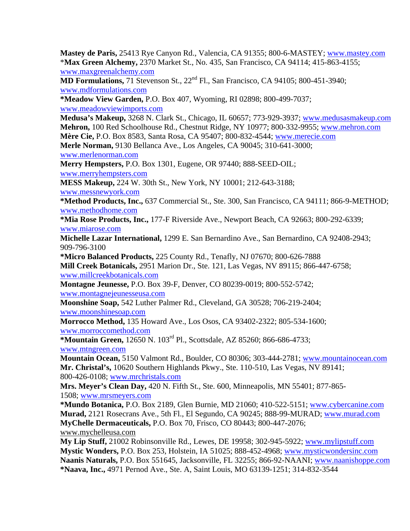**Mastey de Paris,** 25413 Rye Canyon Rd., Valencia, CA 91355; 800-6-MASTEY; www.mastey.com \***Max Green Alchemy,** 2370 Market St., No. 435, San Francisco, CA 94114; 415-863-4155; www.maxgreenalchemy.com **MD Formulations,** 71 Stevenson St., 22<sup>nd</sup> Fl., San Francisco, CA 94105; 800-451-3940; www.mdformulations.com **\*Meadow View Garden,** P.O. Box 407, Wyoming, RI 02898; 800-499-7037; www.meadowviewimports.com **Medusa's Makeup,** 3268 N. Clark St., Chicago, IL 60657; 773-929-3937; www.medusasmakeup.com **Mehron,** 100 Red Schoolhouse Rd., Chestnut Ridge, NY 10977; 800-332-9955; www.mehron.com **Mère Cie,** P.O. Box 8583, Santa Rosa, CA 95407; 800-832-4544; www.merecie.com **Merle Norman,** 9130 Bellanca Ave., Los Angeles, CA 90045; 310-641-3000; www.merlenorman.com **Merry Hempsters,** P.O. Box 1301, Eugene, OR 97440; 888-SEED-OIL; www.merryhempsters.com **MESS Makeup,** 224 W. 30th St., New York, NY 10001; 212-643-3188; www.messnewyork.com **\*Method Products, Inc.,** 637 Commercial St., Ste. 300, San Francisco, CA 94111; 866-9-METHOD; www.methodhome.com **\*Mia Rose Products, Inc.,** 177-F Riverside Ave., Newport Beach, CA 92663; 800-292-6339; www.miarose.com **Michelle Lazar International,** 1299 E. San Bernardino Ave., San Bernardino, CA 92408-2943; 909-796-3100 **\*Micro Balanced Products,** 225 County Rd., Tenafly, NJ 07670; 800-626-7888 **Mill Creek Botanicals,** 2951 Marion Dr., Ste. 121, Las Vegas, NV 89115; 866-447-6758; www.millcreekbotanicals.com **Montagne Jeunesse,** P.O. Box 39-F, Denver, CO 80239-0019; 800-552-5742; www.montagnejeunesseusa.com **Moonshine Soap,** 542 Luther Palmer Rd., Cleveland, GA 30528; 706-219-2404; www.moonshinesoap.com **Morrocco Method,** 135 Howard Ave., Los Osos, CA 93402-2322; 805-534-1600; www.morroccomethod.com **\*Mountain Green,** 12650 N. 103rd Pl., Scottsdale, AZ 85260; 866-686-4733; www.mtngreen.com **Mountain Ocean,** 5150 Valmont Rd., Boulder, CO 80306; 303-444-2781; www.mountainocean.com **Mr. Christal's,** 10620 Southern Highlands Pkwy., Ste. 110-510, Las Vegas, NV 89141; 800-426-0108; www.mrchristals.com **Mrs. Meyer's Clean Day,** 420 N. Fifth St., Ste. 600, Minneapolis, MN 55401; 877-865- 1508; www.mrsmeyers.com **\*Mundo Botanica,** P.O. Box 2189, Glen Burnie, MD 21060; 410-522-5151; www.cybercanine.com **Murad,** 2121 Rosecrans Ave., 5th Fl., El Segundo, CA 90245; 888-99-MURAD; www.murad.com **MyChelle Dermaceuticals,** P.O. Box 70, Frisco, CO 80443; 800-447-2076; www.mychelleusa.com **My Lip Stuff,** 21002 Robinsonville Rd., Lewes, DE 19958; 302-945-5922; www.mylipstuff.com **Mystic Wonders,** P.O. Box 253, Holstein, IA 51025; 888-452-4968; www.mysticwondersinc.com **Naanis Naturals,** P.O. Box 551645, Jacksonville, FL 32255; 866-92-NAANI; www.naanishoppe.com **\*Naava, Inc.,** 4971 Pernod Ave., Ste. A, Saint Louis, MO 63139-1251; 314-832-3544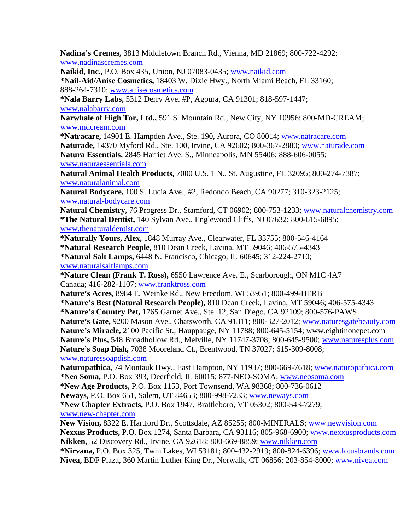**Nadina's Cremes,** 3813 Middletown Branch Rd., Vienna, MD 21869; 800-722-4292; www.nadinascremes.com

**Naikid, Inc.,** P.O. Box 435, Union, NJ 07083-0435; www.naikid.com **\*Nail-Aid/Anise Cosmetics,** 18403 W. Dixie Hwy., North Miami Beach, FL 33160;

888-264-7310; www.anisecosmetics.com

**\*Nala Barry Labs,** 5312 Derry Ave. #P, Agoura, CA 91301; 818-597-1447; www.nalabarry.com

**Narwhale of High Tor, Ltd.,** 591 S. Mountain Rd., New City, NY 10956; 800-MD-CREAM; www.mdcream.com

**\*Natracare,** 14901 E. Hampden Ave., Ste. 190, Aurora, CO 80014; www.natracare.com **Naturade,** 14370 Myford Rd., Ste. 100, Irvine, CA 92602; 800-367-2880; www.naturade.com **Natura Essentials,** 2845 Harriet Ave. S., Minneapolis, MN 55406; 888-606-0055; www.naturaessentials.com

**Natural Animal Health Products,** 7000 U.S. 1 N., St. Augustine, FL 32095; 800-274-7387; www.naturalanimal.com

**Natural Bodycare,** 100 S. Lucia Ave., #2, Redondo Beach, CA 90277; 310-323-2125; www.natural-bodycare.com

**Natural Chemistry,** 76 Progress Dr., Stamford, CT 06902; 800-753-1233; www.naturalchemistry.com **\*The Natural Dentist,** 140 Sylvan Ave., Englewood Cliffs, NJ 07632; 800-615-6895; www.thenaturaldentist.com

**\*Naturally Yours, Alex,** 1848 Murray Ave., Clearwater, FL 33755; 800-546-4164 **\*Natural Research People,** 810 Dean Creek, Lavina, MT 59046; 406-575-4343 **\*Natural Salt Lamps,** 6448 N. Francisco, Chicago, IL 60645; 312-224-2710; www.naturalsaltlamps.com

**\*Nature Clean (Frank T. Ross),** 6550 Lawrence Ave. E., Scarborough, ON M1C 4A7 Canada; 416-282-1107; www.franktross.com

**Nature's Acres,** 8984 E. Weinke Rd., New Freedom, WI 53951; 800-499-HERB **\*Nature's Best (Natural Research People),** 810 Dean Creek, Lavina, MT 59046; 406-575-4343 **\*Nature's Country Pet,** 1765 Garnet Ave., Ste. 12, San Diego, CA 92109; 800-576-PAWS **Nature's Gate,** 9200 Mason Ave., Chatsworth, CA 91311; 800-327-2012; www.naturesgatebeauty.com **Nature's Miracle,** 2100 Pacific St., Hauppauge, NY 11788; 800-645-5154; www.eightinonepet.com **Nature's Plus,** 548 Broadhollow Rd., Melville, NY 11747-3708; 800-645-9500; www.naturesplus.com **Nature's Soap Dish,** 7038 Mooreland Ct., Brentwood, TN 37027; 615-309-8008; www.naturessoapdish.com

**Naturopathica,** 74 Montauk Hwy., East Hampton, NY 11937; 800-669-7618; www.naturopathica.com **\*Neo Soma,** P.O. Box 393, Deerfield, IL 60015; 877-NEO-SOMA; www.neosoma.com **\*New Age Products,** P.O. Box 1153, Port Townsend, WA 98368; 800-736-0612 **Neways,** P.O. Box 651, Salem, UT 84653; 800-998-7233; www.neways.com **\*New Chapter Extracts,** P.O. Box 1947, Brattleboro, VT 05302; 800-543-7279; www.new-chapter.com

**New Vision,** 8322 E. Hartford Dr., Scottsdale, AZ 85255; 800-MINERALS; www.newvision.com **Nexxus Products,** P.O. Box 1274, Santa Barbara, CA 93116; 805-968-6900; www.nexxusproducts.com **Nikken,** 52 Discovery Rd., Irvine, CA 92618; 800-669-8859; www.nikken.com

**\*Nirvana,** P.O. Box 325, Twin Lakes, WI 53181; 800-432-2919; 800-824-6396; www.lotusbrands.com **Nivea,** BDF Plaza, 360 Martin Luther King Dr., Norwalk, CT 06856; 203-854-8000; www.nivea.com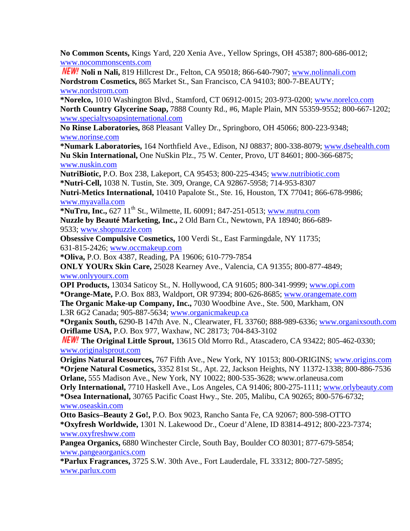**No Common Scents,** Kings Yard, 220 Xenia Ave., Yellow Springs, OH 45387; 800-686-0012; www.nocommonscents.com

**NEW!** Noli n Nali, 819 Hillcrest Dr., Felton, CA 95018; 866-640-7907; www.nolinnali.com **Nordstrom Cosmetics,** 865 Market St., San Francisco, CA 94103; 800-7-BEAUTY; www.nordstrom.com

**\*Norelco,** 1010 Washington Blvd., Stamford, CT 06912-0015; 203-973-0200; www.norelco.com **North Country Glycerine Soap,** 7888 County Rd., #6, Maple Plain, MN 55359-9552; 800-667-1202; www.specialtysoapsinternational.com

**No Rinse Laboratories,** 868 Pleasant Valley Dr., Springboro, OH 45066; 800-223-9348; www.norinse.com

**\*Numark Laboratories,** 164 Northfield Ave., Edison, NJ 08837; 800-338-8079; www.dsehealth.com **Nu Skin International,** One NuSkin Plz., 75 W. Center, Provo, UT 84601; 800-366-6875; www.nuskin.com

**NutriBiotic,** P.O. Box 238, Lakeport, CA 95453; 800-225-4345; www.nutribiotic.com **\*Nutri-Cell,** 1038 N. Tustin, Ste. 309, Orange, CA 92867-5958; 714-953-8307 **Nutri-Metics International,** 10410 Papalote St., Ste. 16, Houston, TX 77041; 866-678-9986; www.myavalla.com

**\*NuTru, Inc.,** 627 11<sup>th</sup> St., Wilmette, IL 60091; 847-251-0513; www.nutru.com **Nuzzle by Beauté Marketing, Inc.,** 2 Old Barn Ct., Newtown, PA 18940; 866-689- 9533; www.shopnuzzle.com

**Obsessive Compulsive Cosmetics,** 100 Verdi St., East Farmingdale, NY 11735; 631-815-2426; www.occmakeup.com

**\*Oliva,** P.O. Box 4387, Reading, PA 19606; 610-779-7854

**ONLY YOURx Skin Care,** 25028 Kearney Ave., Valencia, CA 91355; 800-877-4849; www.onlyyourx.com

**OPI Products,** 13034 Saticoy St., N. Hollywood, CA 91605; 800-341-9999; www.opi.com **\*Orange-Mate,** P.O. Box 883, Waldport, OR 97394; 800-626-8685; www.orangemate.com

**The Organic Make-up Company, Inc.,** 7030 Woodbine Ave., Ste. 500, Markham, ON L3R 6G2 Canada; 905-887-5634; www.organicmakeup.ca

**\*Organix South,** 6290-B 147th Ave. N., Clearwater, FL 33760; 888-989-6336; www.organixsouth.com **Oriflame USA,** P.O. Box 977, Waxhaw, NC 28173; 704-843-3102

**The Original Little Sprout,** 13615 Old Morro Rd., Atascadero, CA 93422; 805-462-0330; www.originalsprout.com

**Origins Natural Resources,** 767 Fifth Ave., New York, NY 10153; 800-ORIGINS; www.origins.com **\*Orjene Natural Cosmetics,** 3352 81st St., Apt. 22, Jackson Heights, NY 11372-1338; 800-886-7536 **Orlane,** 555 Madison Ave., New York, NY 10022; 800-535-3628; www.orlaneusa.com

**Orly International,** 7710 Haskell Ave., Los Angeles, CA 91406; 800-275-1111; www.orlybeauty.com **\*Osea International,** 30765 Pacific Coast Hwy., Ste. 205, Malibu, CA 90265; 800-576-6732; www.oseaskin.com

**Otto Basics–Beauty 2 Go!,** P.O. Box 9023, Rancho Santa Fe, CA 92067; 800-598-OTTO **\*Oxyfresh Worldwide,** 1301 N. Lakewood Dr., Coeur d'Alene, ID 83814-4912; 800-223-7374; www.oxyfreshww.com

**Pangea Organics,** 6880 Winchester Circle, South Bay, Boulder CO 80301; 877-679-5854; www.pangeaorganics.com

**\*Parlux Fragrances,** 3725 S.W. 30th Ave., Fort Lauderdale, FL 33312; 800-727-5895; www.parlux.com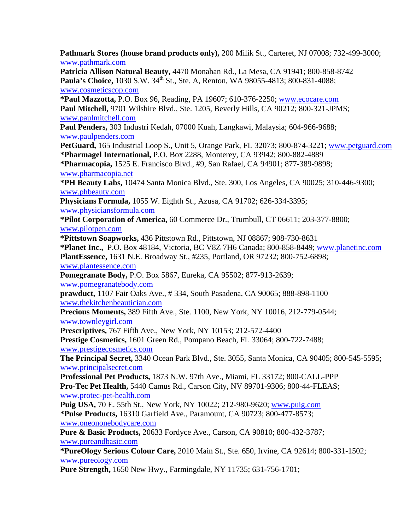**Pathmark Stores (house brand products only),** 200 Milik St., Carteret, NJ 07008; 732-499-3000; www.pathmark.com **Patricia Allison Natural Beauty,** 4470 Monahan Rd., La Mesa, CA 91941; 800-858-8742 **Paula's Choice,** 1030 S.W. 34<sup>th</sup> St., Ste. A, Renton, WA 98055-4813; 800-831-4088; www.cosmeticscop.com **\*Paul Mazzotta,** P.O. Box 96, Reading, PA 19607; 610-376-2250; www.ecocare.com **Paul Mitchell,** 9701 Wilshire Blvd., Ste. 1205, Beverly Hills, CA 90212; 800-321-JPMS; www.paulmitchell.com **Paul Penders,** 303 Industri Kedah, 07000 Kuah, Langkawi, Malaysia; 604-966-9688; www.paulpenders.com **PetGuard,** 165 Industrial Loop S., Unit 5, Orange Park, FL 32073; 800-874-3221; www.petguard.com **\*Pharmagel International,** P.O. Box 2288, Monterey, CA 93942; 800-882-4889 **\*Pharmacopia,** 1525 E. Francisco Blvd., #9, San Rafael, CA 94901; 877-389-9898; www.pharmacopia.net **\*PH Beauty Labs,** 10474 Santa Monica Blvd., Ste. 300, Los Angeles, CA 90025; 310-446-9300; www.phbeauty.com **Physicians Formula,** 1055 W. Eighth St., Azusa, CA 91702; 626-334-3395; www.physiciansformula.com **\*Pilot Corporation of America,** 60 Commerce Dr., Trumbull, CT 06611; 203-377-8800; www.pilotpen.com **\*Pittstown Soapworks,** 436 Pittstown Rd., Pittstown, NJ 08867; 908-730-8631 **\*Planet Inc.,** P.O. Box 48184, Victoria, BC V8Z 7H6 Canada; 800-858-8449; www.planetinc.com **PlantEssence,** 1631 N.E. Broadway St., #235, Portland, OR 97232; 800-752-6898; www.plantessence.com **Pomegranate Body,** P.O. Box 5867, Eureka, CA 95502; 877-913-2639; www.pomegranatebody.com **prawduct,** 1107 Fair Oaks Ave., # 334, South Pasadena, CA 90065; 888-898-1100 www.thekitchenbeautician.com **Precious Moments,** 389 Fifth Ave., Ste. 1100, New York, NY 10016, 212-779-0544; www.townleygirl.com **Prescriptives,** 767 Fifth Ave., New York, NY 10153; 212-572-4400 **Prestige Cosmetics,** 1601 Green Rd., Pompano Beach, FL 33064; 800-722-7488; www.prestigecosmetics.com **The Principal Secret,** 3340 Ocean Park Blvd., Ste. 3055, Santa Monica, CA 90405; 800-545-5595; www.principalsecret.com **Professional Pet Products,** 1873 N.W. 97th Ave., Miami, FL 33172; 800-CALL-PPP **Pro-Tec Pet Health,** 5440 Camus Rd., Carson City, NV 89701-9306; 800-44-FLEAS; www.protec-pet-health.com **Puig USA,** 70 E. 55th St., New York, NY 10022; 212-980-9620; www.puig.com **\*Pulse Products,** 16310 Garfield Ave., Paramount, CA 90723; 800-477-8573; www.oneononebodycare.com **Pure & Basic Products,** 20633 Fordyce Ave., Carson, CA 90810; 800-432-3787; www.pureandbasic.com **\*PureOlogy Serious Colour Care,** 2010 Main St., Ste. 650, Irvine, CA 92614; 800-331-1502; www.pureology.com **Pure Strength,** 1650 New Hwy., Farmingdale, NY 11735; 631-756-1701;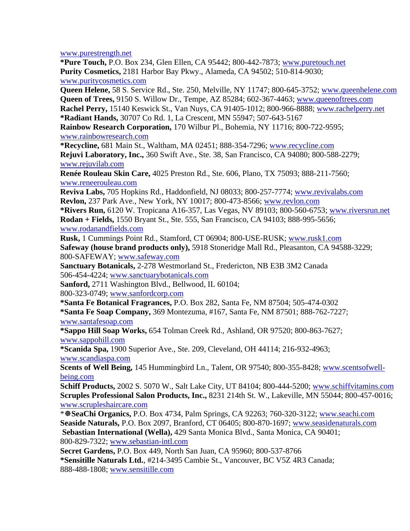www.purestrength.net

**\*Pure Touch,** P.O. Box 234, Glen Ellen, CA 95442; 800-442-7873; www.puretouch.net **Purity Cosmetics,** 2181 Harbor Bay Pkwy., Alameda, CA 94502; 510-814-9030; www.puritycosmetics.com

**Queen Helene,** 58 S. Service Rd., Ste. 250, Melville, NY 11747; 800-645-3752; www.queenhelene.com **Queen of Trees,** 9150 S. Willow Dr., Tempe, AZ 85284; 602-367-4463; www.queenoftrees.com **Rachel Perry,** 15140 Keswick St., Van Nuys, CA 91405-1012; 800-966-8888; www.rachelperry.net **\*Radiant Hands,** 30707 Co Rd. 1, La Crescent, MN 55947; 507-643-5167 **Rainbow Research Corporation,** 170 Wilbur Pl., Bohemia, NY 11716; 800-722-9595; www.rainbowresearch.com

**\*Recycline,** 681 Main St., Waltham, MA 02451; 888-354-7296; www.recycline.com **Rejuvi Laboratory, Inc.,** 360 Swift Ave., Ste. 38, San Francisco, CA 94080; 800-588-2279; www.rejuvilab.com

**Renée Rouleau Skin Care,** 4025 Preston Rd., Ste. 606, Plano, TX 75093; 888-211-7560; www.reneerouleau.com

**Reviva Labs,** 705 Hopkins Rd., Haddonfield, NJ 08033; 800-257-7774; www.revivalabs.com **Revlon,** 237 Park Ave., New York, NY 10017; 800-473-8566; www.revlon.com

**\*Rivers Run,** 6120 W. Tropicana A16-357, Las Vegas, NV 89103; 800-560-6753; www.riversrun.net **Rodan + Fields,** 1550 Bryant St., Ste. 555, San Francisco, CA 94103; 888-995-5656; www.rodanandfields.com

**Rusk,** 1 Cummings Point Rd., Stamford, CT 06904; 800-USE-RUSK; www.rusk1.com **Safeway (house brand products only),** 5918 Stoneridge Mall Rd., Pleasanton, CA 94588-3229; 800-SAFEWAY; www.safeway.com

**Sanctuary Botanicals,** 2-278 Westmorland St., Fredericton, NB E3B 3M2 Canada 506-454-4224; www.sanctuarybotanicals.com

**Sanford,** 2711 Washington Blvd., Bellwood, IL 60104; 800-323-0749; www.sanfordcorp.com

**\*Santa Fe Botanical Fragrances,** P.O. Box 282, Santa Fe, NM 87504; 505-474-0302 **\*Santa Fe Soap Company,** 369 Montezuma, #167, Santa Fe, NM 87501; 888-762-7227; www.santafesoap.com

**\*Sappo Hill Soap Works,** 654 Tolman Creek Rd., Ashland, OR 97520; 800-863-7627; www.sappohill.com

**\*Scanida Spa,** 1900 Superior Ave., Ste. 209, Cleveland, OH 44114; 216-932-4963; www.scandiaspa.com

**Scents of Well Being,** 145 Hummingbird Ln., Talent, OR 97540; 800-355-8428; www.scentsofwellbeing.com

**Schiff Products,** 2002 S. 5070 W., Salt Lake City, UT 84104; 800-444-5200; www.schiffvitamins.com **Scruples Professional Salon Products, Inc.,** 8231 214th St. W., Lakeville, MN 55044; 800-457-0016; www.scrupleshaircare.com

**\*\*SeaChi Organics,** P.O. Box 4734, Palm Springs, CA 92263; 760-320-3122; www.seachi.com **Seaside Naturals,** P.O. Box 2097, Branford, CT 06405; 800-870-1697; www.seasidenaturals.com  **Sebastian International (Wella),** 429 Santa Monica Blvd., Santa Monica, CA 90401; 800-829-7322; www.sebastian-intl.com

**Secret Gardens,** P.O. Box 449, North San Juan, CA 95960; 800-537-8766 **\*Sensitille Naturals Ltd.**, #214-3495 Cambie St., Vancouver, BC V5Z 4R3 Canada; 888-488-1808; www.sensitille.com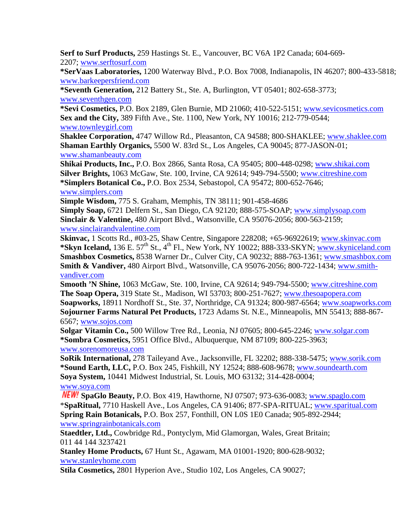**Serf to Surf Products,** 259 Hastings St. E., Vancouver, BC V6A 1P2 Canada; 604-669- 2207; www.serftosurf.com

**\*SerVaas Laboratories,** 1200 Waterway Blvd., P.O. Box 7008, Indianapolis, IN 46207; 800-433-5818; www.barkeepersfriend.com

**\*Seventh Generation,** 212 Battery St., Ste. A, Burlington, VT 05401; 802-658-3773; www.seventhgen.com

**\*Sevi Cosmetics,** P.O. Box 2189, Glen Burnie, MD 21060; 410-522-5151; www.sevicosmetics.com **Sex and the City,** 389 Fifth Ave., Ste. 1100, New York, NY 10016; 212-779-0544; www.townleygirl.com

**Shaklee Corporation,** 4747 Willow Rd., Pleasanton, CA 94588; 800-SHAKLEE; www.shaklee.com **Shaman Earthly Organics,** 5500 W. 83rd St., Los Angeles, CA 90045; 877-JASON-01; www.shamanbeauty.com

**Shikai Products, Inc.,** P.O. Box 2866, Santa Rosa, CA 95405; 800-448-0298; www.shikai.com **Silver Brights,** 1063 McGaw, Ste. 100, Irvine, CA 92614; 949-794-5500; www.citreshine.com **\*Simplers Botanical Co.,** P.O. Box 2534, Sebastopol, CA 95472; 800-652-7646;

## www.simplers.com

**Simple Wisdom,** 775 S. Graham, Memphis, TN 38111; 901-458-4686 **Simply Soap,** 6721 Delfern St., San Diego, CA 92120; 888-575-SOAP; www.simplysoap.com **Sinclair & Valentine,** 480 Airport Blvd., Watsonville, CA 95076-2056; 800-563-2159;

www.sinclairandvalentine.com

**Skinvac,** 1 Scotts Rd., #03-25, Shaw Centre, Singapore 228208; +65-96922619; www.skinvac.com \*Skyn Iceland, 136 E. 57<sup>th</sup> St., 4<sup>th</sup> Fl., New York, NY 10022; 888-333-SKYN; www.skyniceland.com **Smashbox Cosmetics,** 8538 Warner Dr., Culver City, CA 90232; 888-763-1361; www.smashbox.com **Smith & Vandiver,** 480 Airport Blvd., Watsonville, CA 95076-2056; 800-722-1434; www.smithvandiver.com

**Smooth 'N Shine,** 1063 McGaw, Ste. 100, Irvine, CA 92614; 949-794-5500; www.citreshine.com **The Soap Opera,** 319 State St., Madison, WI 53703; 800-251-7627; www.thesoapopera.com **Soapworks,** 18911 Nordhoff St., Ste. 37, Northridge, CA 91324; 800-987-6564; www.soapworks.com **Sojourner Farms Natural Pet Products,** 1723 Adams St. N.E., Minneapolis, MN 55413; 888-867- 6567; www.sojos.com

**Solgar Vitamin Co.,** 500 Willow Tree Rd., Leonia, NJ 07605; 800-645-2246; www.solgar.com **\*Sombra Cosmetics,** 5951 Office Blvd., Albuquerque, NM 87109; 800-225-3963; www.sorenomoreusa.com

**SoRik International,** 278 Taileyand Ave., Jacksonville, FL 32202; 888-338-5475; www.sorik.com **\*Sound Earth, LLC,** P.O. Box 245, Fishkill, NY 12524; 888-608-9678; www.soundearth.com **Soya System,** 10441 Midwest Industrial, St. Louis, MO 63132; 314-428-0004; www.soya.com

**SpaGlo Beauty,** P.O. Box 419, Hawthorne, NJ 07507; 973-636-0083; www.spaglo.com \***SpaRitual,** 7710 Haskell Ave., Los Angeles, CA 91406; 877-SPA-RITUAL; www.sparitual.com **Spring Rain Botanicals,** P.O. Box 257, Fonthill, ON L0S 1E0 Canada; 905-892-2944; www.springrainbotanicals.com

**Staedtler, Ltd.,** Cowbridge Rd., Pontyclym, Mid Glamorgan, Wales, Great Britain; 011 44 144 3237421

**Stanley Home Products,** 67 Hunt St., Agawam, MA 01001-1920; 800-628-9032; www.stanleyhome.com

**Stila Cosmetics,** 2801 Hyperion Ave., Studio 102, Los Angeles, CA 90027;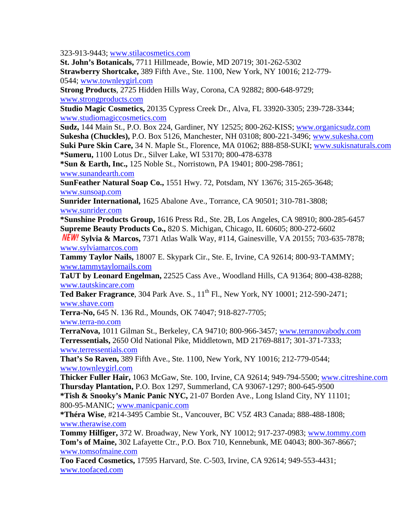323-913-9443; www.stilacosmetics.com

**St. John's Botanicals,** 7711 Hillmeade, Bowie, MD 20719; 301-262-5302 **Strawberry Shortcake,** 389 Fifth Ave., Ste. 1100, New York, NY 10016; 212-779- 0544; www.townleygirl.com

**Strong Products**, 2725 Hidden Hills Way, Corona, CA 92882; 800-648-9729; www.strongproducts.com

**Studio Magic Cosmetics,** 20135 Cypress Creek Dr., Alva, FL 33920-3305; 239-728-3344; www.studiomagiccosmetics.com

**Sudz,** 144 Main St., P.O. Box 224, Gardiner, NY 12525; 800-262-KISS; www.organicsudz.com **Sukesha (Chuckles),** P.O. Box 5126, Manchester, NH 03108; 800-221-3496; www.sukesha.com **Suki Pure Skin Care,** 34 N. Maple St., Florence, MA 01062; 888-858-SUKI; www.sukisnaturals.com **\*Sumeru,** 1100 Lotus Dr., Silver Lake, WI 53170; 800-478-6378

**\*Sun & Earth, Inc.,** 125 Noble St., Norristown, PA 19401; 800-298-7861; www.sunandearth.com

**SunFeather Natural Soap Co.,** 1551 Hwy. 72, Potsdam, NY 13676; 315-265-3648; www.sunsoap.com

**Sunrider International,** 1625 Abalone Ave., Torrance, CA 90501; 310-781-3808; www.sunrider.com

**\*Sunshine Products Group,** 1616 Press Rd., Ste. 2B, Los Angeles, CA 98910; 800-285-6457 **Supreme Beauty Products Co.,** 820 S. Michigan, Chicago, IL 60605; 800-272-6602

**Sylvia & Marcos,** 7371 Atlas Walk Way, #114, Gainesville, VA 20155; 703-635-7878; www.sylviamarcos.com

**Tammy Taylor Nails,** 18007 E. Skypark Cir., Ste. E, Irvine, CA 92614; 800-93-TAMMY; www.tammytaylornails.com

**TaUT by Leonard Engelman,** 22525 Cass Ave., Woodland Hills, CA 91364; 800-438-8288; www.tautskincare.com

**Ted Baker Fragrance**, 304 Park Ave. S., 11<sup>th</sup> Fl., New York, NY 10001; 212-590-2471; www.shave.com

**Terra-No,** 645 N. 136 Rd., Mounds, OK 74047; 918-827-7705; www.terra-no.com

**TerraNova,** 1011 Gilman St., Berkeley, CA 94710; 800-966-3457; www.terranovabody.com **Terressentials,** 2650 Old National Pike, Middletown, MD 21769-8817; 301-371-7333; www.terressentials.com

**That's So Raven,** 389 Fifth Ave., Ste. 1100, New York, NY 10016; 212-779-0544; www.townleygirl.com

**Thicker Fuller Hair,** 1063 McGaw, Ste. 100, Irvine, CA 92614; 949-794-5500; www.citreshine.com **Thursday Plantation,** P.O. Box 1297, Summerland, CA 93067-1297; 800-645-9500

**\*Tish & Snooky's Manic Panic NYC,** 21-07 Borden Ave., Long Island City, NY 11101; 800-95-MANIC; www.manicpanic.com

**\*Théra Wise**, #214-3495 Cambie St., Vancouver, BC V5Z 4R3 Canada; 888-488-1808; www.therawise.com

**Tommy Hilfiger,** 372 W. Broadway, New York, NY 10012; 917-237-0983; www.tommy.com **Tom's of Maine,** 302 Lafayette Ctr., P.O. Box 710, Kennebunk, ME 04043; 800-367-8667; www.tomsofmaine.com

**Too Faced Cosmetics,** 17595 Harvard, Ste. C-503, Irvine, CA 92614; 949-553-4431; www.toofaced.com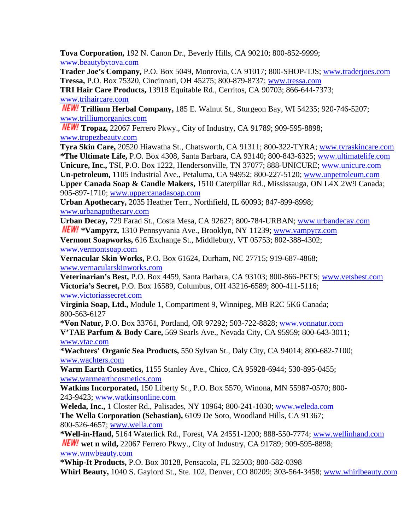**Tova Corporation,** 192 N. Canon Dr., Beverly Hills, CA 90210; 800-852-9999; www.beautybytova.com

**Trader Joe's Company,** P.O. Box 5049, Monrovia, CA 91017; 800-SHOP-TJS; www.traderjoes.com **Tressa,** P.O. Box 75320, Cincinnati, OH 45275; 800-879-8737; www.tressa.com

**TRI Hair Care Products,** 13918 Equitable Rd., Cerritos, CA 90703; 866-644-7373; www.trihaircare.com

**Trillium Herbal Company,** 185 E. Walnut St., Sturgeon Bay, WI 54235; 920-746-5207; www.trilliumorganics.com

**Tropaz,** 22067 Ferrero Pkwy., City of Industry, CA 91789; 909-595-8898; www.tropezbeauty.com

**Tyra Skin Care,** 20520 Hiawatha St., Chatsworth, CA 91311; 800-322-TYRA; www.tyraskincare.com **\*The Ultimate Life,** P.O. Box 4308, Santa Barbara, CA 93140; 800-843-6325; www.ultimatelife.com **Unicure, Inc.,** TSI, P.O. Box 1222, Hendersonville, TN 37077; 888-UNICURE; www.unicure.com **Un-petroleum,** 1105 Industrial Ave., Petaluma, CA 94952; 800-227-5120; www.unpetroleum.com **Upper Canada Soap & Candle Makers,** 1510 Caterpillar Rd., Mississauga, ON L4X 2W9 Canada; 905-897-1710; www.uppercanadasoap.com

**Urban Apothecary,** 2035 Heather Terr., Northfield, IL 60093; 847-899-8998;

www.urbanapothecary.com

**Urban Decay,** 729 Farad St., Costa Mesa, CA 92627; 800-784-URBAN; www.urbandecay.com **\*Vampyrz,** 1310 Pennsyvania Ave., Brooklyn, NY 11239; www.vampyrz.com

**Vermont Soapworks,** 616 Exchange St., Middlebury, VT 05753; 802-388-4302; www.vermontsoap.com

**Vernacular Skin Works,** P.O. Box 61624, Durham, NC 27715; 919-687-4868; www.vernacularskinworks.com

**Veterinarian's Best,** P.O. Box 4459, Santa Barbara, CA 93103; 800-866-PETS; www.vetsbest.com **Victoria's Secret,** P.O. Box 16589, Columbus, OH 43216-6589; 800-411-5116; www.victoriassecret.com

**Virginia Soap, Ltd.,** Module 1, Compartment 9, Winnipeg, MB R2C 5K6 Canada; 800-563-6127

**\*Von Natur,** P.O. Box 33761, Portland, OR 97292; 503-722-8828; www.vonnatur.com **V'TAE Parfum & Body Care,** 569 Searls Ave., Nevada City, CA 95959; 800-643-3011;

www.vtae.com

**\*Wachters' Organic Sea Products,** 550 Sylvan St., Daly City, CA 94014; 800-682-7100; www.wachters.com

**Warm Earth Cosmetics,** 1155 Stanley Ave., Chico, CA 95928-6944; 530-895-0455; www.warmearthcosmetics.com

**Watkins Incorporated,** 150 Liberty St., P.O. Box 5570, Winona, MN 55987-0570; 800- 243-9423; www.watkinsonline.com

**Weleda, Inc.,** 1 Closter Rd., Palisades, NY 10964; 800-241-1030; www.weleda.com **The Wella Corporation (Sebastian),** 6109 De Soto, Woodland Hills, CA 91367; 800-526-4657; www.wella.com

**\*Well-in-Hand,** 5164 Waterlick Rd., Forest, VA 24551-1200; 888-550-7774; www.wellinhand.com **wet n wild,** 22067 Ferrero Pkwy., City of Industry, CA 91789; 909-595-8898; www.wnwbeauty.com

**\*Whip-It Products,** P.O. Box 30128, Pensacola, FL 32503; 800-582-0398 **Whirl Beauty,** 1040 S. Gaylord St., Ste. 102, Denver, CO 80209; 303-564-3458; www.whirlbeauty.com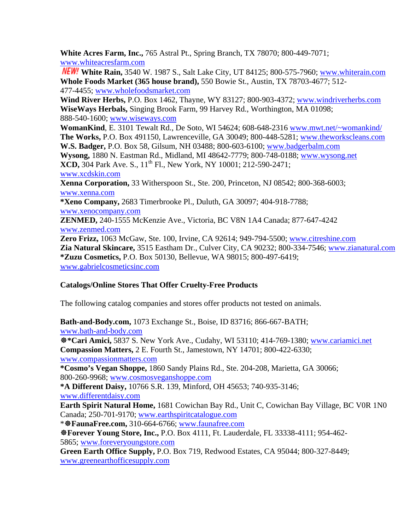**White Acres Farm, Inc.,** 765 Astral Pt., Spring Branch, TX 78070; 800-449-7071; www.whiteacresfarm.com

**White Rain,** 3540 W. 1987 S., Salt Lake City, UT 84125; 800-575-7960; www.whiterain.com **Whole Foods Market (365 house brand),** 550 Bowie St., Austin, TX 78703-4677; 512- 477-4455; www.wholefoodsmarket.com

**Wind River Herbs,** P.O. Box 1462, Thayne, WY 83127; 800-903-4372; www.windriverherbs.com **WiseWays Herbals,** Singing Brook Farm, 99 Harvey Rd., Worthington, MA 01098; 888-540-1600; www.wiseways.com

**WomanKind**, E. 3101 Tewalt Rd., De Soto, WI 54624; 608-648-2316 www.mwt.net/~womankind/ **The Works,** P.O. Box 491150, Lawrenceville, GA 30049; 800-448-5281; www.theworkscleans.com **W.S. Badger,** P.O. Box 58, Gilsum, NH 03488; 800-603-6100; www.badgerbalm.com **Wysong,** 1880 N. Eastman Rd., Midland, MI 48642-7779; 800-748-0188; www.wysong.net **XCD,** 304 Park Ave. S., 11<sup>th</sup> Fl., New York, NY 10001; 212-590-2471; www.xcdskin.com **Xenna Corporation,** 33 Witherspoon St., Ste. 200, Princeton, NJ 08542; 800-368-6003; www.xenna.com **\*Xeno Company,** 2683 Timerbrooke Pl., Duluth, GA 30097; 404-918-7788; www.xenocompany.com **ZENMED,** 240-1555 McKenzie Ave., Victoria, BC V8N 1A4 Canada; 877-647-4242

www.zenmed.com

**Zero Frizz,** 1063 McGaw, Ste. 100, Irvine, CA 92614; 949-794-5500; www.citreshine.com **Zia Natural Skincare,** 3515 Eastham Dr., Culver City, CA 90232; 800-334-7546; www.zianatural.com **\*Zuzu Cosmetics,** P.O. Box 50130, Bellevue, WA 98015; 800-497-6419; www.gabrielcosmeticsinc.com

## **Catalogs/Online Stores That Offer Cruelty-Free Products**

The following catalog companies and stores offer products not tested on animals.

**Bath-and-Body.com,** 1073 Exchange St., Boise, ID 83716; 866-667-BATH; www.bath-and-body.com

 $\mathcal{R}^*$ **Cari Amici,** 5837 S. New York Ave., Cudahy, WI 53110; 414-769-1380; www.cariamici.net **Compassion Matters,** 2 E. Fourth St., Jamestown, NY 14701; 800-422-6330; www.compassionmatters.com

**\*Cosmo's Vegan Shoppe,** 1860 Sandy Plains Rd., Ste. 204-208, Marietta, GA 30066; 800-260-9968; www.cosmosveganshoppe.com

**\*A Different Daisy,** 10766 S.R. 139, Minford, OH 45653; 740-935-3146;

www.differentdaisy.com

**Earth Spirit Natural Home,** 1681 Cowichan Bay Rd., Unit C, Cowichan Bay Village, BC V0R 1N0 Canada; 250-701-9170; www.earthspiritcatalogue.com

\***\&extimafree.com,** 310-664-6766; www.faunafree.com

D**Forever Young Store, Inc.,** P.O. Box 4111, Ft. Lauderdale, FL 33338-4111; 954-462- 5865; www.foreveryoungstore.com

**Green Earth Office Supply,** P.O. Box 719, Redwood Estates, CA 95044; 800-327-8449; www.greenearthofficesupply.com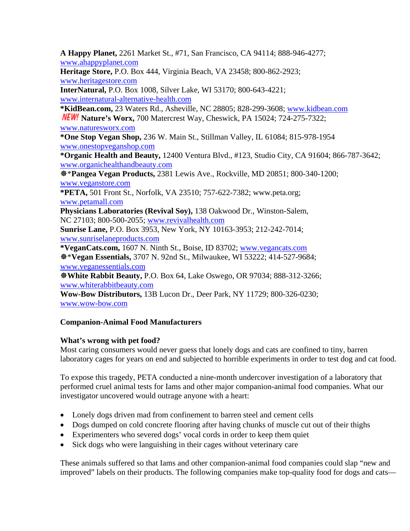**A Happy Planet,** 2261 Market St., #71, San Francisco, CA 94114; 888-946-4277; www.ahappyplanet.com **Heritage Store,** P.O. Box 444, Virginia Beach, VA 23458; 800-862-2923; www.heritagestore.com **InterNatural,** P.O. Box 1008, Silver Lake, WI 53170; 800-643-4221; www.internatural-alternative-health.com **\*KidBean.com,** 23 Waters Rd., Asheville, NC 28805; 828-299-3608; www.kidbean.com **Nature's Worx,** 700 Matercrest Way, Cheswick, PA 15024; 724-275-7322; www.naturesworx.com **\*One Stop Vegan Shop,** 236 W. Main St., Stillman Valley, IL 61084; 815-978-1954 www.onestopveganshop.com **\*Organic Health and Beauty,** 12400 Ventura Blvd., #123, Studio City, CA 91604; 866-787-3642; www.organichealthandbeauty.com D\***Pangea Vegan Products,** 2381 Lewis Ave., Rockville, MD 20851; 800-340-1200; www.veganstore.com **\*PETA,** 501 Front St., Norfolk, VA 23510; 757-622-7382; www.peta.org; www.petamall.com **Physicians Laboratories (Revival Soy),** 138 Oakwood Dr., Winston-Salem, NC 27103; 800-500-2055; www.revivalhealth.com **Sunrise Lane,** P.O. Box 3953, New York, NY 10163-3953; 212-242-7014; www.sunriselaneproducts.com **\*VeganCats.com,** 1607 N. Ninth St., Boise, ID 83702; www.vegancats.com D\***Vegan Essentials,** 3707 N. 92nd St., Milwaukee, WI 53222; 414-527-9684; www.veganessentials.com D**White Rabbit Beauty,** P.O. Box 64, Lake Oswego, OR 97034; 888-312-3266; www.whiterabbitbeauty.com **Wow-Bow Distributors,** 13B Lucon Dr., Deer Park, NY 11729; 800-326-0230; www.wow-bow.com

## **Companion-Animal Food Manufacturers**

## **What's wrong with pet food?**

Most caring consumers would never guess that lonely dogs and cats are confined to tiny, barren laboratory cages for years on end and subjected to horrible experiments in order to test dog and cat food.

To expose this tragedy, PETA conducted a nine-month undercover investigation of a laboratory that performed cruel animal tests for Iams and other major companion-animal food companies. What our investigator uncovered would outrage anyone with a heart:

- Lonely dogs driven mad from confinement to barren steel and cement cells
- Dogs dumped on cold concrete flooring after having chunks of muscle cut out of their thighs
- Experimenters who severed dogs' vocal cords in order to keep them quiet
- Sick dogs who were languishing in their cages without veterinary care

These animals suffered so that Iams and other companion-animal food companies could slap "new and improved" labels on their products. The following companies make top-quality food for dogs and cats